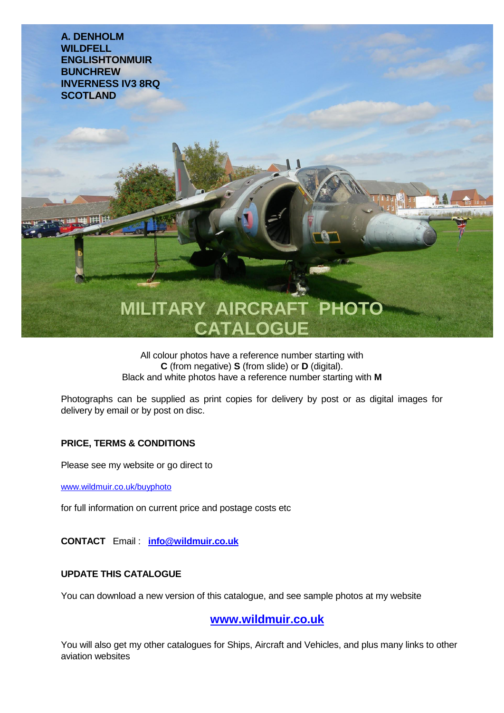

All colour photos have a reference number starting with **C** (from negative) **S** (from slide) or **D** (digital). Black and white photos have a reference number starting with **M**

Photographs can be supplied as print copies for delivery by post or as digital images for delivery by email or by post on disc.

## **PRICE, TERMS & CONDITIONS**

Please see my website or go direct to

www.wildmuir.co.uk/buyphoto

for full information on current price and postage costs etc

**CONTACT** Email : **[info@wildmuir.co.uk](mailto:info@wildmuir.co.uk)**

## **UPDATE THIS CATALOGUE**

You can download a new version of this catalogue, and see sample photos at my website

**[www.wildmuir.co.uk](http://www.wildmuir.co.uk/)**

You will also get my other catalogues for Ships, Aircraft and Vehicles, and plus many links to other aviation websites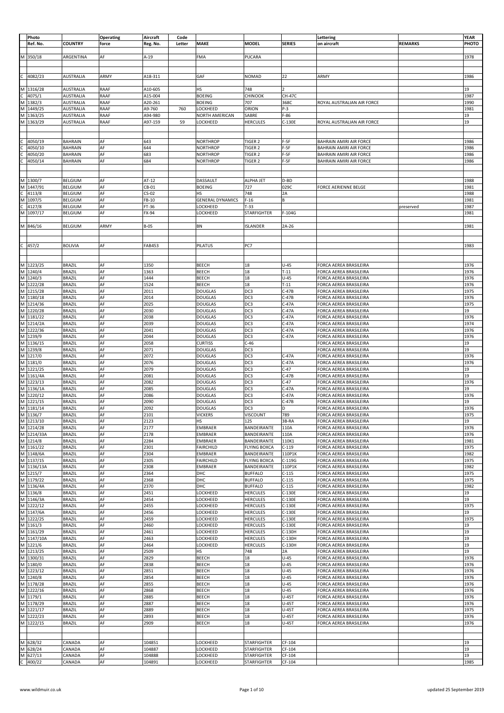|               | Photo                                         |                  | Operating   | Aircraft    | Code   |                         |                     |               | Lettering                      |                | YEAR  |
|---------------|-----------------------------------------------|------------------|-------------|-------------|--------|-------------------------|---------------------|---------------|--------------------------------|----------------|-------|
|               | Ref. No.                                      | <b>COUNTRY</b>   | force       | Reg. No.    | Letter | <b>MAKE</b>             | <b>MODEL</b>        | <b>SERIES</b> | on aircraft                    | <b>REMARKS</b> | PHOTO |
|               |                                               |                  |             |             |        |                         |                     |               |                                |                |       |
|               |                                               |                  |             |             |        |                         |                     |               |                                |                |       |
| M             | 350/18                                        | ARGENTINA        | AF          | $A-19$      |        | FMA                     | PUCARA              |               |                                |                | 1978  |
|               |                                               |                  |             |             |        |                         |                     |               |                                |                |       |
|               |                                               |                  |             |             |        |                         |                     |               |                                |                |       |
| c             | 4082/23                                       | <b>AUSTRALIA</b> | ARMY        | A18-311     |        | GAF                     | <b>NOMAD</b>        | 22            | ARMY                           |                | 1986  |
|               |                                               |                  |             |             |        |                         |                     |               |                                |                |       |
|               |                                               | AUSTRALIA        | <b>RAAF</b> | A10-605     |        | НS                      | 748                 | $\mathcal{P}$ |                                |                | 19    |
|               | M 1316/28<br>C 4075/1<br>M 1382/3             |                  |             |             |        |                         |                     |               |                                |                |       |
|               |                                               | AUSTRALIA        | RAAF        | A15-004     |        | <b>BOEING</b>           | CHINOOK             | <b>CH-47C</b> |                                |                | 1987  |
|               |                                               | AUSTRALIA        | RAAF        | A20-261     |        | <b>BOEING</b>           | 707                 | 368C          | ROYAL AUSTRALIAN AIR FORCE     |                | 1990  |
| M             | 1449/25                                       | AUSTRALIA        | RAAF        | A9-760      | 760    | LOCKHEED                | ORION               | P-3           |                                |                | 1981  |
| M             | 1363/25                                       | AUSTRALIA        | RAAF        | A94-980     |        | <b>NORTH AMERICAN</b>   | SABRE               | F-86          |                                |                | 19    |
|               | M 1363/29                                     | <b>AUSTRALIA</b> | <b>RAAF</b> | A97-159     | 59     | LOCKHEED                | <b>HERCULES</b>     | C-130E        | ROYAL AUSTRALIAN AIR FORCE     |                | 19    |
|               |                                               |                  |             |             |        |                         |                     |               |                                |                |       |
|               |                                               |                  |             |             |        |                         |                     |               |                                |                |       |
|               |                                               |                  |             |             |        |                         |                     |               |                                |                |       |
| $\frac{1}{2}$ | 4050/19                                       | <b>BAHRAIN</b>   | AF          | 643         |        | <b>NORTHROP</b>         | TIGER 2             | F-5F          | <b>BAHRAIN AMIRI AIR FORCE</b> |                | 1986  |
|               | 4050/10                                       | <b>BAHRAIN</b>   | AF          | 644         |        | <b>NORTHROP</b>         | TIGER 2             | F-5F          | <b>BAHRAIN AMIRI AIR FORCE</b> |                | 1986  |
|               | 4050/20                                       | <b>BAHRAIN</b>   | AF          | 683         |        | <b>NORTHROP</b>         | TIGER 2             | F-5F          | <b>BAHRAIN AMIRI AIR FORCE</b> |                | 1986  |
|               | 4050/14                                       | <b>BAHRAIN</b>   | AF          | 684         |        | <b>NORTHROP</b>         | TIGER 2             | F-5F          | BAHRAIN AMIRI AIR FORCE        |                | 1986  |
|               |                                               |                  |             |             |        |                         |                     |               |                                |                |       |
|               |                                               |                  |             |             |        |                         |                     |               |                                |                |       |
|               |                                               |                  |             |             |        |                         |                     |               |                                |                |       |
|               | M 1300/7<br>M 1447/91<br>C 4113/8<br>M 1097/5 | <b>BELGIUM</b>   | AF          | AT-12       |        | DASSAULT                | <b>ALPHA JET</b>    | D-BD          |                                |                | 1988  |
|               |                                               | BELGIUM          | AF          | CB-01       |        | <b>BOEING</b>           | 727                 | 029C          | FORCE AERIENNE BELGE           |                | 1981  |
|               |                                               | BELGIUM          | AF          | $CS-02$     |        | НS                      | 748                 | 2A            |                                |                | 1988  |
|               |                                               | <b>BELGIUM</b>   | AF          | FB-10       |        | <b>GENERAL DYNAMICS</b> | $F-16$              | B             |                                |                | 1981  |
|               |                                               |                  |             |             |        |                         |                     |               |                                |                |       |
|               | $rac{122}{5}$<br>M $rac{4127}{8}$             | BELGIUM          | AF          | FT-36       |        | LOCKHEED                | $T-33$              |               |                                | preserved      | 1987  |
|               |                                               | <b>BELGIUM</b>   | AF          | FX-94       |        | LOCKHEED                | <b>STARFIGHTER</b>  | $F-104G$      |                                |                | 1981  |
|               |                                               |                  |             |             |        |                         |                     |               |                                |                |       |
|               | M 846/16                                      | BELGIUM          | ARMY        | <b>B-05</b> |        | BN                      | <b>ISLANDER</b>     | 2A-26         |                                |                | 1981  |
|               |                                               |                  |             |             |        |                         |                     |               |                                |                |       |
|               |                                               |                  |             |             |        |                         |                     |               |                                |                |       |
|               |                                               |                  | AF          |             |        |                         | PC7                 |               |                                |                |       |
| c             | 457/2                                         | <b>BOLIVIA</b>   |             | FAB453      |        | PILATUS                 |                     |               |                                |                | 1983  |
|               |                                               |                  |             |             |        |                         |                     |               |                                |                |       |
|               |                                               |                  |             |             |        |                         |                     |               |                                |                |       |
|               | M 1223/25                                     | <b>BRAZIL</b>    | AF          | 1350        |        | BEECH                   | 18                  | $U-45$        | <b>FORCA AEREA BRASILEIRA</b>  |                | 1976  |
|               | M 1240/4                                      | <b>BRAZIL</b>    | AF          | 1363        |        | <b>BEECH</b>            | 18                  | $T-11$        | FORCA AEREA BRASILEIRA         |                | 1976  |
|               | M 1240/3<br>M 1222/28                         | <b>BRAZIL</b>    | AF          | 1444        |        | <b>BEECH</b>            | 18                  | $U-45$        | FORCA AEREA BRASILEIRA         |                | 1976  |
|               |                                               |                  |             |             |        |                         |                     |               |                                |                |       |
|               |                                               | BRAZIL           | AF          | 1524        |        | BEECH                   | 18                  | $T-11$        | FORCA AEREA BRASILEIRA         |                | 1976  |
|               | M 1215/28                                     | BRAZIL           | AF          | 2011        |        | <b>DOUGLAS</b>          | DC3                 | $C-47B$       | FORCA AEREA BRASILEIRA         |                | 1975  |
|               | M 1180/18                                     | BRAZIL           | AF          | 2014        |        | DOUGLAS                 | DC3                 | $C-47B$       | FORCA AEREA BRASILEIRA         |                | 1976  |
|               | M 1214/36                                     | <b>BRAZIL</b>    | AF          | 2025        |        | <b>DOUGLAS</b>          | DC3                 | $C-47A$       | FORCA AEREA BRASILEIRA         |                | 1975  |
|               | M 1220/28                                     | <b>BRAZIL</b>    | AF          | 2030        |        | DOUGLAS                 | DC3                 | $C-47A$       | FORCA AEREA BRASILEIRA         |                | 19    |
|               | M 1181/22                                     | <b>BRAZIL</b>    | AF          | 2038        |        | DOUGLAS                 | DC3                 | C-47A         | FORCA AEREA BRASILEIRA         |                | 1976  |
|               | M 1214/2A                                     |                  | AF          |             |        |                         |                     |               |                                |                |       |
|               |                                               | <b>BRAZIL</b>    |             | 2039        |        | <b>DOUGLAS</b>          | DC3                 | $C-47A$       | FORCA AEREA BRASILEIRA         |                | 1974  |
|               | M 1222/36<br>M 1222/36                        | BRAZIL           | AF          | 2041        |        | <b>DOUGLAS</b>          | DC3                 | C-47A         | FORCA AEREA BRASILEIRA         |                | 1976  |
|               |                                               | <b>BRAZIL</b>    | AF          | 2044        |        | <b>DOUGLAS</b>          | DC3                 | C-47A         | FORCA AEREA BRASILEIRA         |                | 1976  |
|               | M 1136/15                                     | <b>BRAZIL</b>    | AF          | 2058        |        | <b>CURTISS</b>          | $C-46$              |               | FORCA AEREA BRASILEIRA         |                | 19    |
|               | M 1239/8                                      | <b>BRAZIL</b>    | AF          | 2071        |        | <b>DOUGLAS</b>          | DC3                 |               | FORCA AEREA BRASILEIRA         |                | 19    |
|               | M 1217/0                                      | BRAZIL           | AF          | 2072        |        | <b>DOUGLAS</b>          | DC3                 | $C-47A$       | FORCA AEREA BRASILEIRA         |                | 1976  |
|               | M 1181/0                                      | BRAZIL           | AF          | 2076        |        | <b>DOUGLAS</b>          | DC <sub>3</sub>     | $C-47A$       | FORCA AEREA BRASILEIRA         |                | 1976  |
|               |                                               |                  |             |             |        |                         |                     |               |                                |                |       |
|               | M 1221/25                                     | <b>BRAZIL</b>    | AF          | 2079        |        | DOUGLAS                 | DC3                 | $C-47$        | FORCA AEREA BRASILEIRA         |                | 19    |
|               | M 1161/4A                                     | <b>BRAZIL</b>    | AF          | 2081        |        | DOUGLAS                 | DC3                 | $C-47B$       | FORCA AEREA BRASILEIRA         |                | 19    |
| Σ             | 1223/13                                       | <b>BRAZIL</b>    | AF          | 2082        |        | <b>DOUGLAS</b>          | DC3                 | $C-47$        | FORCA AEREA BRASILEIRA         |                | 1976  |
|               | M 1136/1A<br>M 1220/12                        | <b>BRAZIL</b>    | AF          | 2085        |        | <b>DOUGLAS</b>          | DC3                 | $C-47A$       | FORCA AEREA BRASILEIRA         |                | 19    |
|               |                                               | <b>BRAZIL</b>    | AF          | 2086        |        | <b>DOUGLAS</b>          | DC3                 | $C-47A$       | FORCA AEREA BRASILEIRA         |                | 1976  |
|               | M 1221/15                                     | <b>BRAZIL</b>    | AF          | 2090        |        | DOUGLAS                 | DC3                 | $C-47B$       | <b>FORCA AEREA BRASILEIRA</b>  |                | 19    |
|               |                                               |                  |             |             |        |                         |                     |               |                                |                |       |
|               | M 1181/14                                     | BRAZIL           | AF          | 2092        |        | <b>DOUGLAS</b>          | DC3                 | D             | FORCA AEREA BRASILEIRA         |                | 1976  |
|               | M 1136/7                                      | <b>BRAZIL</b>    | AF          | 2101        |        | <b>VICKERS</b>          | <b>VISCOUNT</b>     | 789           | FORCA AEREA BRASILEIRA         |                | 1975  |
|               | $M$ 1213/10                                   | <b>BRAZIL</b>    | AF          | 2123        |        | НS                      | 125                 | 3B-RA         | FORCA AEREA BRASILEIRA         |                | 19    |
|               | M 1214/28                                     | <b>BRAZIL</b>    | AF          | 2177        |        | <b>EMBRAER</b>          | BANDEIRANTE         | 110A          | FORCA AEREA BRASILEIRA         |                | 1976  |
|               | M 1214/33A                                    | <b>BRAZIL</b>    | AF          | 2178        |        | EMBRAER                 | BANDEIRANTE         | 110A          | FORCA AEREA BRASILEIRA         |                | 1976  |
|               | M 1214/8                                      | <b>BRAZIL</b>    | AF          | 2284        |        | EMBRAER                 | BANDEIRANTE         | 110K1         | FORCA AEREA BRASILEIRA         |                | 1981  |
|               | $M$ 1161/22                                   | <b>BRAZIL</b>    | AF          | 2301        |        |                         |                     | $C-119$       | FORCA AEREA BRASILEIRA         |                |       |
|               |                                               |                  |             |             |        | <b>FAIRCHILD</b>        | <b>FLYING BOXCA</b> |               |                                |                | 1975  |
|               | M 1148/6A                                     | BRAZIL           | AF          | 2304        |        | <b>EMBRAER</b>          | BANDEIRANTE         | 110P1K        | FORCA AEREA BRASILEIRA         |                | 1982  |
|               | M 1137/15                                     | <b>BRAZIL</b>    | AF          | 2305        |        | <b>FAIRCHILD</b>        | <b>FLYING BOXCA</b> | C-119G        | FORCA AEREA BRASILEIRA         |                | 1975  |
|               | M 1136/13A                                    | BRAZIL           | AF          | 2308        |        | <b>EMBRAER</b>          | BANDEIRANTE         | 110P1K        | FORCA AEREA BRASILEIRA         |                | 1982  |
|               | M 1215/7                                      | <b>BRAZIL</b>    | AF          | 2364        |        | DHC                     | <b>BUFFALO</b>      | $C-115$       | <b>FORCA AEREA BRASILEIRA</b>  |                | 1975  |
|               | M 1179/22                                     | <b>BRAZIL</b>    | AF          | 2368        |        | DHC                     | <b>BUFFALO</b>      | $C-115$       | FORCA AEREA BRASILEIRA         |                | 1975  |
|               | M 1136/4A                                     | <b>BRAZIL</b>    | AF          | 2370        |        | DHC                     | <b>BUFFALO</b>      | $C-115$       | FORCA AEREA BRASILEIRA         |                | 1982  |
|               | M 1136/8                                      | <b>BRAZIL</b>    | AF          | 2451        |        | LOCKHEED                | <b>HERCULES</b>     | C-130E        | FORCA AEREA BRASILEIRA         |                | 19    |
|               | M 1146/3A                                     | <b>BRAZIL</b>    | AF          | 2454        |        | LOCKHEED                | <b>HERCULES</b>     | C-130E        | <b>FORCA AEREA BRASILEIRA</b>  |                | 19    |
|               |                                               |                  |             |             |        |                         |                     |               |                                |                |       |
|               | M 1222/12                                     | <b>BRAZIL</b>    | AF          | 2455        |        | LOCKHEED                | <b>HERCULES</b>     | C-130E        | FORCA AEREA BRASILEIRA         |                | 1975  |
|               | M 1147/6A                                     | <b>BRAZIL</b>    | AF          | 2456        |        | LOCKHEED                | <b>HERCULES</b>     | C-130E        | FORCA AEREA BRASILEIRA         |                | 19    |
|               | M 1222/25                                     | <b>BRAZIL</b>    | AF          | 2459        |        | LOCKHEED                | <b>HERCULES</b>     | C-130E        | <b>FORCA AEREA BRASILEIRA</b>  |                | 1975  |
|               | M 1161/3                                      | <b>BRAZIL</b>    | AF          | 2460        |        | LOCKHEED                | <b>HERCULES</b>     | C-130E        | FORCA AEREA BRASILEIRA         |                | 19    |
|               | M 1161/29                                     | <b>BRAZIL</b>    | AF          | 2461        |        | LOCKHEED                | <b>HERCULES</b>     | C-130H        | FORCA AEREA BRASILEIRA         |                | 19    |
|               | M 1147/10A                                    | <b>BRAZIL</b>    | AF          | 2463        |        | LOCKHEED                | <b>HERCULES</b>     | C-130H        | FORCA AEREA BRASILEIRA         |                | 19    |
|               | M 1221/6                                      |                  | AF          |             |        |                         |                     |               |                                |                |       |
|               |                                               | <b>BRAZIL</b>    |             | 2464        |        | LOCKHEED                | <b>HERCULES</b>     | C-130H        | FORCA AEREA BRASILEIRA         |                | 19    |
|               | M 1213/25                                     | <b>BRAZIL</b>    | AF          | 2509        |        | НS                      | 748                 | 2A            | FORCA AEREA BRASILEIRA         |                | 19    |
|               | M 1300/31                                     | <b>BRAZIL</b>    | AF          | 2829        |        | <b>BEECH</b>            | 18                  | $U-45$        | FORCA AEREA BRASILEIRA         |                | 1976  |
|               | M 1180/0                                      | <b>BRAZIL</b>    | AF          | 2838        |        | <b>BEECH</b>            | 18                  | $U-45$        | FORCA AEREA BRASILEIRA         |                | 1976  |
|               | M 1223/12                                     | <b>BRAZIL</b>    | AF          | 2851        |        | <b>BEECH</b>            | 18                  | $U-45$        | FORCA AEREA BRASILEIRA         |                | 1976  |
|               | M 1240/8                                      | <b>BRAZIL</b>    | AF          | 2854        |        | <b>BEECH</b>            | 18                  | $U-45$        | FORCA AEREA BRASILEIRA         |                | 1976  |
|               | M 1178/28                                     | <b>BRAZIL</b>    | AF          | 2855        |        | <b>BEECH</b>            | 18                  | $U-45$        | FORCA AEREA BRASILEIRA         |                | 1976  |
|               | M 1222/16                                     | <b>BRAZIL</b>    | AF          | 2868        |        | <b>BEECH</b>            | 18                  | $U-45$        | FORCA AEREA BRASILEIRA         |                | 1976  |
|               | M 1179/1                                      |                  |             |             |        |                         |                     |               |                                |                |       |
|               |                                               | <b>BRAZIL</b>    | AF          | 2885        |        | <b>BEECH</b>            | 18                  | $U-45T$       | FORCA AEREA BRASILEIRA         |                | 1976  |
|               | M 1178/29                                     | <b>BRAZIL</b>    | AF          | 2887        |        | <b>BEECH</b>            | 18                  | $U-45T$       | FORCA AEREA BRASILEIRA         |                | 1976  |
|               | M 1221/17                                     | <b>BRAZIL</b>    | AF          | 2889        |        | BEECH                   | 18                  | $U-45T$       | FORCA AEREA BRASILEIRA         |                | 1975  |
|               | M 1222/23                                     | BRAZIL           | AF          | 2893        |        | <b>BEECH</b>            | 18                  | U-45T         | FORCA AEREA BRASILEIRA         |                | 1976  |
|               | M 1222/15                                     | <b>BRAZIL</b>    | AF          | 2909        |        | <b>BEECH</b>            | 18                  | U-45T         | FORCA AEREA BRASILEIRA         |                | 1976  |
|               |                                               |                  |             |             |        |                         |                     |               |                                |                |       |
|               |                                               |                  |             |             |        |                         |                     |               |                                |                |       |
|               |                                               |                  |             |             |        |                         |                     |               |                                |                |       |
|               | M 628/32                                      | CANADA           | AF          | 104851      |        | LOCKHEED                | STARFIGHTER         | CF-104        |                                |                | 19    |
|               | M 628/24                                      | CANADA           | AF          | 104887      |        | LOCKHEED                | STARFIGHTER         | CF-104        |                                |                | 19    |
|               | M 627/13                                      | CANADA           | AF          | 104888      |        | LOCKHEED                | STARFIGHTER         | CF-104        |                                |                | 19    |
| $\mathsf c$   | 400/22                                        | CANADA           | AF          | 104891      |        | LOCKHEED                | STARFIGHTER         | CF-104        |                                |                | 1985  |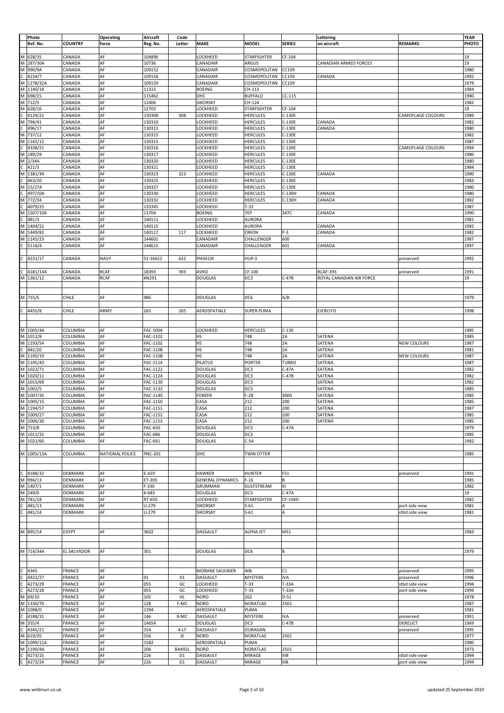|                         | Photo       |                    | <b>Operating</b> | Aircraft       | Code           |                         |                    |               | Lettering                    |                    | YEAR  |
|-------------------------|-------------|--------------------|------------------|----------------|----------------|-------------------------|--------------------|---------------|------------------------------|--------------------|-------|
|                         | Ref. No.    | <b>COUNTRY</b>     | force            | Reg. No.       | Letter         | MAKE                    | <b>MODEL</b>       | <b>SERIES</b> | on aircraft                  | <b>REMARKS</b>     | PHOTO |
|                         |             |                    |                  |                |                |                         |                    |               |                              |                    |       |
|                         |             |                    |                  |                |                |                         |                    |               |                              |                    |       |
|                         | M 628/35    | CANADA             | AF               | 104896         |                | LOCKHEED                | <b>STARFIGHTER</b> | CF-104        |                              |                    | 19    |
| M                       | 287/30A     | CANADA             | AF               | 10736          |                | CANADAIR                | ARGUS              |               | <b>CANADIAN ARMED FORCES</b> |                    | 19    |
| M                       | 990/9A      | CANADA             | AF               | 109152         |                | CANADAIR                | COSMOPOLITAN       | CC109         |                              |                    | 1980  |
| C                       | 4234/7      | CANADA             | AF               | 109156         |                | CANADAIR                | COSMOPOLITAN       | CC109         | CANADA                       |                    | 1992  |
| M                       | 1278/32A    | CANADA             | AF               | 109159         |                | CANADAIR                | COSMOPOLITAN       | CC109         |                              |                    | 1979  |
|                         | M 1140/18   | CANADA             | AF               | 11315          |                | <b>BOEING</b>           | CH-113             |               |                              |                    | 1984  |
|                         | M 698/15    |                    | AF               | 115462         |                | DHC                     |                    | $CC-115$      |                              |                    | 1980  |
|                         |             | CANADA             |                  |                |                |                         | <b>BUFFALO</b>     |               |                              |                    |       |
| M                       | 712/5       | CANADA             | AF               | 12406          |                | <b>SIKORSKY</b>         | CH-124             |               |                              |                    | 1982  |
| M                       | 628/16      | CANADA             | AF               | 12703          |                | LOCKHEED                | STARFIGHTER        | CF-104        |                              |                    | 19    |
| $\mathsf{C}$            | 4129/21     | CANADA             | AF               | 130308         | 308            | LOCKHEED                | <b>HERCULES</b>    | C-130E        |                              | CAMOFLAGE COLOURS  | 1989  |
| M                       | 794/41      | CANADA             | AF               | 130310         |                | LOCKHEED                | <b>HERCULES</b>    | C-130E        | CANADA                       |                    | 1982  |
| $\mathsf{C}$            | 496/17      | CANADA             | AF               | 130313         |                | LOCKHEED                | <b>HERCULES</b>    | C-130E        | CANADA                       |                    | 1980  |
| M                       | 737/12      | CANADA             | AF               | 130315         |                | LOCKHEED                | <b>HERCULES</b>    | C-130E        |                              |                    | 1982  |
|                         | M 1165/12   | CANADA             | AF               | 130315         |                | LOCKHEED                | <b>HERCULES</b>    | C-130E        |                              |                    | 1987  |
| $\mathsf{C}$            | 4338/21     | CANADA             | AF               | 130316         |                |                         | <b>HERCULES</b>    | C-130E        |                              |                    | 1994  |
|                         |             |                    |                  |                |                | LOCKHEED                |                    |               |                              | CAMOFLAGE COLOURS  |       |
| M                       | 189/29      | CANADA             | AF               | 130317         |                | LOCKHEED                | <b>HERCULES</b>    | C-130E        |                              |                    | 1980  |
| M                       | 2/34A       | CANADA             | AF               | 130320         |                | LOCKHEED                | <b>HERCULES</b>    | C-130E        |                              |                    | 1980  |
| C                       | 421/3       | CANADA             | AF               | 130321         |                | LOCKHEED                | <b>HERCULES</b>    | C-130E        |                              |                    | 1984  |
| M                       | 1381/34     | CANADA             | AF               | 130323         | 323            | LOCKHEED                | <b>HERCULES</b>    | C-130E        | CANADA                       |                    | 1990  |
| C                       | 463/20      | CANADA             | AF               | 130325         |                | LOCKHEED                | <b>HERCULES</b>    | C-130E        |                              |                    | 1983  |
|                         | M 15/27A    | CANADA             | AF               | 130327         |                | LOCKHEED                | <b>HERCULES</b>    | C-130E        |                              |                    | 1980  |
| C                       | 497/10A     | CANADA             | AF               | 130330         |                | LOCKHEED                | <b>HERCULES</b>    | C-130H        | CANADA                       |                    | 1980  |
| M                       | 772/34      | CANADA             | AF               | 130332         |                | LOCKHEED                | HERCULES           | C-130H        | CANADA                       |                    | 1982  |
|                         |             |                    |                  |                |                |                         |                    |               |                              |                    |       |
|                         | 4079/25     | CANADA             | AF               | 133345         |                | LOCKHEED                | $T-33$             |               |                              |                    | 1987  |
| M                       | 1507/10A    | CANADA             | AF               | 13704          |                | <b>BOEING</b>           | 707                | 347C          | CANADA                       |                    | 1990  |
| $\mathsf{C}$            | 481/3       | CANADA             | AF               | 140111         |                | LOCKHEED                | AURORA             |               |                              |                    | 1981  |
| M                       | 1404/22     | CANADA             | AF               | 140115         |                | LOCKHEED                | <b>AURORA</b>      |               | CANADA                       |                    | 1982  |
| M                       | 1449/82     | CANADA             | AF               | 140117         | 117            | LOCKHEED                | ORION              | $P-3$         | CANADA                       |                    | 1982  |
| M                       | 1145/23     | CANADA             | AF               | 144601         |                | CANADAIR                | CHALLENGER         | 600           |                              |                    | 1987  |
| C                       | 5116/4      | CANADA             | AF               | 144615         |                | CANADAIR                | CHALLENGER         | 601           | CANADA                       |                    | 1997  |
|                         |             |                    |                  |                |                |                         |                    |               |                              |                    |       |
|                         |             |                    |                  |                |                |                         |                    |               |                              |                    |       |
| c                       | 4231/17     | CANADA             | <b>NAVY</b>      | 51-16622       | 622            | PIASECKI                | HUP-3              |               |                              | preserved          | 1992  |
|                         |             |                    |                  |                |                |                         |                    |               |                              |                    |       |
| C                       | 4181/14A    | CANADA             | <b>RCAF</b>      | 18393          | 393            | <b>AVRO</b>             | CF-100             |               | <b>RCAF-393</b>              | preserved          | 1991  |
|                         | M 1361/12   | CANADA             | <b>RCAF</b>      | KN 291         |                | <b>DOUGLAS</b>          | DC3                | $C-47B$       | ROYAL CANADIAN AIR FORCE     |                    | 19    |
|                         |             |                    |                  |                |                |                         |                    |               |                              |                    |       |
|                         |             |                    |                  |                |                |                         |                    |               |                              |                    |       |
|                         | M 715/5     | CHILE              | AF               | 986            |                | <b>DOUGLAS</b>          | DC6                | A/B           |                              |                    | 1979  |
|                         |             |                    |                  |                |                |                         |                    |               |                              |                    |       |
|                         |             |                    |                  |                |                |                         |                    |               |                              |                    |       |
| C                       | 4455/8      | CHILE              | ARMY             | 265            | 265            | AEROSPATIALE            | <b>SUPER PUMA</b>  |               | <b>EJERCITO</b>              |                    | 1998  |
|                         |             |                    |                  |                |                |                         |                    |               |                              |                    |       |
|                         |             |                    |                  |                |                |                         |                    |               |                              |                    |       |
|                         | M 1005/4A   | <b>COLUMBIA</b>    | AF               | FAC-1004       |                | LOCKHEED                | <b>HERCULES</b>    | $C-130$       |                              |                    | 1985  |
|                         | M 1012/8    | COLUMBIA           | AF               | FAC-1102       |                | HS                      | 748                | 2A            | SATENA                       |                    | 1985  |
|                         | M 1193/54   | <b>COLUMBIA</b>    | AF               | FAC-1102       |                | HS                      | 748                | 2A            | SATENA                       | <b>NEW COLOURS</b> | 1987  |
| c                       |             | COLUMBIA           | AF               | FAC-1108       |                |                         | 748                | 2A            | SATENA                       |                    | 1981  |
|                         | 481/20      |                    |                  |                |                | HS                      |                    |               |                              |                    |       |
| M                       | 1195/19     | <b>COLUMBIA</b>    | AF               | FAC-1108       |                | HS                      | 748                | 2A            | SATENA                       | <b>NEW COLOURS</b> | 1987  |
|                         | M 1195/43   | <b>COLUMBIA</b>    | AF               | FAC-1114       |                | PILATUS                 | PORTER             | <b>TURBO</b>  | SATENA                       |                    | 1987  |
| M                       | 1023/71     | <b>COLUMBIA</b>    | AF               | FAC-1122       |                | <b>DOUGLAS</b>          | DC3                | $C-47A$       | SATENA                       |                    | 1982  |
| M                       | 1020/11     | <b>COLUMBIA</b>    | AF               | FAC-1124       |                | <b>DOUGLAS</b>          | DC3                | $C-47B$       | SATENA                       |                    | 1982  |
| M                       | 1015/69     | COLUMBIA           | AF               | FAC-1130       |                | <b>DOUGLAS</b>          | DC3                |               | SATENA                       |                    | 1982  |
|                         |             |                    | AF               | FAC-1132       |                | <b>DOUGLAS</b>          | DC3                |               |                              |                    | 1985  |
|                         | M 1002/5    | COLUMBIA           |                  |                |                |                         |                    |               | SATENA                       |                    |       |
| M                       | 1007/35     | COLUMBIA           | AF               | FAC-1140       |                | <b>FOKKER</b>           | $F-28$             | 3000          | SATENA                       |                    | 1985  |
| M                       | 1005/15     | <b>COLUMBIA</b>    | AF               | FAC-1150       |                | CASA                    | 212                | 200           | SATENA                       |                    | 1985  |
|                         | M 1194/57   | <b>COLUMBIA</b>    | AF               | FAC-1151       |                | CASA                    | 212                | 200           | SATENA                       |                    | 1987  |
|                         | M 1009/27   | <b>COLUMBIA</b>    | AF               | FAC-1152       |                | CASA                    | 212                | 200           | SATENA                       |                    | 1985  |
|                         | M 1006/30   | <b>COLUMBIA</b>    | AF               | FAC-1153       |                | CASA                    | 212                | 200           | SATENA                       |                    | 1985  |
|                         | M 713/8     | <b>COLUMBIA</b>    | AF               | FAC-650        |                | <b>DOUGLAS</b>          | DC3                | $C-47A$       |                              |                    | 1979  |
|                         | M 1011/32   | <b>COLUMBIA</b>    | AF               | FAC-686        |                | <b>DOUGLAS</b>          | DC3                |               |                              |                    | 1985  |
|                         | M 1021/60   |                    | AF               |                |                |                         |                    |               |                              |                    |       |
|                         |             | COLUMBIA           |                  | FAC-691        |                | <b>DOUGLAS</b>          | $C-54$             |               |                              |                    | 1982  |
|                         |             |                    |                  |                |                |                         |                    |               |                              |                    |       |
|                         | M 1005/13A  | <b>COLUMBIA</b>    | NATIONAL POLICE  | <b>PNC-201</b> |                | DHC                     | TWIN OTTER         |               |                              |                    | 1985  |
|                         |             |                    |                  |                |                |                         |                    |               |                              |                    |       |
|                         |             |                    |                  |                |                |                         |                    |               |                              |                    |       |
|                         | $C$ 4188/32 | <b>DENMARK</b>     | AF               | E-419          |                | <b>HAWKER</b>           | HUNTER             | F51           |                              | preserved          | 1991  |
|                         | M 994/13    | <b>DENMARK</b>     | AF               | ET-205         |                | <b>GENERAL DYNAMICS</b> | F-16               | В             |                              |                    | 1985  |
|                         | M 1407/1    | <b>DENMARK</b>     | AF               | F-330          |                | GRUMMAN                 | <b>GULFSTREAM</b>  | Ш             |                              |                    | 1982  |
|                         | M 249/0     | <b>DENMARK</b>     | AF               | K-683          |                | <b>DOUGLAS</b>          | DC3                | $C-47A$       |                              |                    | 19    |
|                         |             |                    |                  |                |                | LOCKHEED                |                    |               |                              |                    |       |
|                         | M 781/18    | <b>DENMARK</b>     | AF               | RT-655         |                |                         | <b>STARFIGHTER</b> | CF-104D       |                              |                    | 1982  |
| $\mathsf{C}$            | 481/13      | <b>DENMARK</b>     | AF               | U-279          |                | <b>SIKORSKY</b>         | $S-61$             | A             |                              | port side view     | 1981  |
| $\mathsf{C}$            | 481/14      | <b>DENMARK</b>     | AF               | U-279          |                | <b>SIKORSKY</b>         | $S-61$             | A             |                              | stbd side view     | 1981  |
|                         |             |                    |                  |                |                |                         |                    |               |                              |                    |       |
|                         |             |                    |                  |                |                |                         |                    |               |                              |                    |       |
|                         | M 895/14    | <b>EGYPT</b>       | AF               | 3602           |                | DASSAULT                | ALPHA JET          | MS1           |                              |                    | 1983  |
|                         |             |                    |                  |                |                |                         |                    |               |                              |                    |       |
|                         |             |                    |                  |                |                |                         |                    |               |                              |                    |       |
|                         | M 714/34A   | <b>EL SALVADOR</b> | AF               | 301            |                | <b>DOUGLAS</b>          | DC6                | B             |                              |                    | 1979  |
|                         |             |                    |                  |                |                |                         |                    |               |                              |                    |       |
|                         |             |                    |                  |                |                |                         |                    |               |                              |                    |       |
|                         |             |                    |                  |                |                |                         |                    |               |                              |                    |       |
|                         | $C$ 4345    | <b>FRANCE</b>      | AF               |                |                | MORANE SAULNIER         | 406                | C1            |                              | preserved          | 1995  |
| $\overline{c}$          | 4422/27     | <b>FRANCE</b>      | AF               | 01             | 01             | DASSAULT                | MYSTERE            | <b>IVA</b>    |                              | preserved          | 1996  |
| $\mathsf{C}$            | 4273/29     | <b>FRANCE</b>      | AF               | 055            | GC             | <b>LOCKHEED</b>         | $T-33$             | T-33A         |                              | stbd side view     | 1994  |
| $\overline{\mathsf{c}}$ | 4273/28     | <b>FRANCE</b>      | AF               | 055            | GC             | LOCKHEED                | $T-33$             | T-33A         |                              | port side view     | 1994  |
|                         |             |                    |                  |                |                |                         |                    |               |                              |                    |       |
|                         | M 69/10     | FRANCE             | AF               | 105            | HL             | <b>NORD</b>             | 262                | $D-51$        |                              |                    | 1978  |
|                         | M 1330/70   | <b>FRANCE</b>      | AF               | 128            | F-MC           | <b>NORD</b>             | <b>NORATLAS</b>    | 2501          |                              |                    | 1987  |
|                         | M 1098/0    | <b>FRANCE</b>      | AF               | 1394           |                | AEROSPATIALE            | PUMA               |               |                              |                    | 1981  |
| $\mathsf{C}$            | 4188/31     | <b>FRANCE</b>      | AF               | 146            | 8-MC           | DASSAULT                | MYSTERE            | IVA           |                              | preserved          | 1991  |
|                         | M 355/4     | <b>FRANCE</b>      | AF               | 14654          |                | <b>DOUGLAS</b>          | DC3                | $C-47B$       |                              | <b>DERELICT</b>    | 1969  |
| $\overline{c}$          | 4345/21     | <b>FRANCE</b>      | AF               | 154            | 4-LT           | DASSAULT                | OURAGAN            |               |                              | preserved          | 1995  |
|                         | M 619/35    | <b>FRANCE</b>      | AF               | 156            | JE             | <b>NORD</b>             | NORATLAS           | 2501          |                              |                    | 1977  |
|                         | M 1099/11A  | <b>FRANCE</b>      | AF               | 1582           |                | AEROSPATIALE            | PUMA               |               |                              |                    | 1980  |
|                         |             |                    |                  |                |                |                         |                    |               |                              |                    |       |
| M                       | 1190/4A     | <b>FRANCE</b>      | AF               | 206            | <b>BA492L</b>  | <b>NORD</b>             | <b>NORATLAS</b>    | 2501          |                              |                    | 1973  |
| $\mathsf{C}$            | 4273/25     | <b>FRANCE</b>      | AF               | 226            | D <sub>1</sub> | DASSAULT                | MIRAGE             | <b>IIIB</b>   |                              | stbd side view     | 1994  |
|                         | C 4273/24   | FRANCE             | AF               | 226            | D1             | DASSAULT                | MIRAGE             | <b>IIIB</b>   |                              | port side view     | 1994  |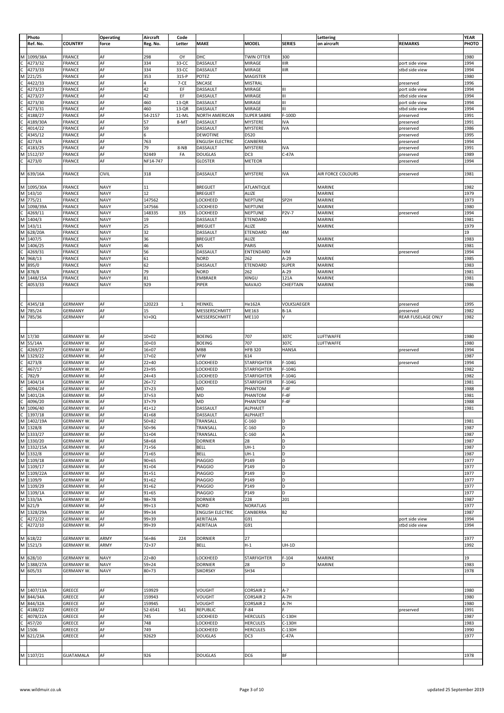|                      | Photo                                                             |                   | <b>Operating</b> | Aircraft  | Code         |                         |                    |               | Lettering         |                    | <b>YEAR</b> |
|----------------------|-------------------------------------------------------------------|-------------------|------------------|-----------|--------------|-------------------------|--------------------|---------------|-------------------|--------------------|-------------|
|                      | Ref. No.                                                          | <b>COUNTRY</b>    | force            | Reg. No.  | Letter       | <b>MAKE</b>             | <b>MODEL</b>       | <b>SERIES</b> | on aircraft       | <b>REMARKS</b>     | PHOTO       |
|                      |                                                                   |                   |                  |           |              |                         |                    |               |                   |                    |             |
|                      |                                                                   |                   |                  |           |              |                         |                    |               |                   |                    |             |
|                      | M 1099/38A                                                        | FRANCE            | AF               | 298       | OY           | DHC                     | <b>TWIN OTTER</b>  | 300           |                   |                    | 1980        |
|                      | 4273/32                                                           | FRANCE            | AF               | 334       | 33-CC        | DASSAULT                | <b>MIRAGE</b>      | <b>IIIR</b>   |                   | port side view     | 1994        |
|                      | 4273/33                                                           | FRANCE            | AF               | 334       | 33-CC        | DASSAULT                | <b>MIRAGE</b>      | <b>IIIR</b>   |                   | stbd side view     | 1994        |
| $\cup$ $\cup$ $\leq$ | 221/25                                                            | FRANCE            | AF               | 353       | 315-P        | POTEZ                   | MAGISTER           |               |                   |                    | 1980        |
|                      | 4422/33                                                           | FRANCE            | AF               |           | 7-CE         | SNCASE                  | <b>MISTRAL</b>     |               |                   | preserved          | 1996        |
| $\frac{1}{2}$        | 4273/23                                                           | FRANCE            | AF               | 42        | EF           | DASSAULT                | <b>MIRAGE</b>      | Ш             |                   | port side view     | 1994        |
|                      | 4273/27                                                           | FRANCE            | AF               | 42        | EF           | DASSAULT                | <b>MIRAGE</b>      | Ш             |                   | stbd side view     | 1994        |
|                      |                                                                   | FRANCE            | AF               | 460       | $13-QR$      |                         |                    | Ш             |                   |                    |             |
|                      | 4273/30                                                           |                   |                  |           |              | DASSAULT                | MIRAGE             |               |                   | port side view     | 1994        |
|                      | 4273/31                                                           | FRANCE            | AF               | 460       | 13-QR        | DASSAULT                | MIRAGE             | Ш             |                   | stbd side view     | 1994        |
|                      | 4188/27                                                           | FRANCE            | AF               | 54-2157   | 11-ML        | <b>NORTH AMERICAN</b>   | <b>SUPER SABRE</b> | F-100D        |                   | preserved          | 1991        |
| $\mathsf{C}$         | 4189/30A                                                          | FRANCE            | AF               | 57        | 8-MT         | DASSAULT                | MYSTERE            | <b>IVA</b>    |                   | preserved          | 1991        |
| c<br>C               | 4014/22                                                           | FRANCE            | AF               | 59        |              | DASSAULT                | <b>MYSTERE</b>     | <b>IVA</b>    |                   | preserved          | 1986        |
|                      | 4345/12                                                           | FRANCE            | AF               | 6         |              | <b>DEWOTINE</b>         | D520               |               |                   | preserved          | 1995        |
|                      | 4273/4                                                            | FRANCE            | AF               | 763       |              | <b>ENGLISH ELECTRIC</b> | CANBERRA           |               |                   | preserved          | 1994        |
| $\frac{1}{2}$        | 4183/25                                                           | FRANCE            | AF               | 79        |              |                         | MYSTERE            | <b>IVA</b>    |                   |                    | 1991        |
|                      |                                                                   |                   |                  |           | 8-NB         | DASSAULT                |                    |               |                   | preserved          |             |
|                      | 1512/37                                                           | FRANCE            | AF               | 92449     | FA           | <b>DOUGLAS</b>          | DC3                | $C-47A$       |                   | preserved          | 1989        |
|                      | 4273/0                                                            | FRANCE            | AF               | NF14-747  |              | GLOSTER                 | METEOR             |               |                   | preserved          | 1994        |
|                      |                                                                   |                   |                  |           |              |                         |                    |               |                   |                    |             |
|                      | M 639/16A                                                         | FRANCE            | CIVIL            | 318       |              | DASSAULT                | MYSTERE            | <b>IVA</b>    | AIR FORCE COLOURS | preserved          | 1981        |
|                      |                                                                   |                   |                  |           |              |                         |                    |               |                   |                    |             |
|                      | M 1095/30A                                                        | FRANCE            | <b>NAVY</b>      | 11        |              | <b>BREGUET</b>          | ATLANTIQUE         |               | MARINE            |                    | 1982        |
| M                    |                                                                   |                   |                  | 12        |              |                         |                    |               |                   |                    |             |
|                      | 143/10                                                            | FRANCE            | <b>NAVY</b>      |           |              | <b>BREGUET</b>          | ALIZE              |               | MARINE            |                    | 1979        |
|                      | M 775/21                                                          | FRANCE            | <b>NAVY</b>      | 147562    |              | LOCKHEED                | <b>NEPTUNE</b>     | SP2H          | MARINE            |                    | 1973        |
| $\overline{M}$       | 1098/39A                                                          | FRANCE            | <b>NAVY</b>      | 147566    |              | LOCKHEED                | NEPTUNE            |               | MARINE            |                    | 1980        |
|                      | $\frac{C}{M}$ 4269/1<br>4269/11                                   | FRANCE            | <b>NAVY</b>      | 148335    | 335          | LOCKHEED                | <b>NEPTUNE</b>     | P2V-7         | MARINE            | preserved          | 1994        |
|                      |                                                                   | FRANCE            | <b>NAVY</b>      | 19        |              | DASSAULT                | ETENDARD           |               | MARINE            |                    | 1981        |
|                      | M 143/11                                                          | FRANCE            | <b>NAVY</b>      | 25        |              | <b>BREGUET</b>          | <b>ALIZE</b>       |               | MARINE            |                    | 1979        |
|                      | M 628/20A                                                         | FRANCE            | <b>NAVY</b>      | 32        |              | DASSAULT                | ETENDARD           | 4M            |                   |                    | 19          |
| M                    | 1407/5                                                            |                   | <b>NAVY</b>      | 36        |              | <b>BREGUET</b>          | ALIZE              |               | MARINE            |                    | 1983        |
|                      |                                                                   | FRANCE            |                  |           |              |                         |                    |               |                   |                    |             |
| Σ                    | 1406/25                                                           | FRANCE            | <b>NAVY</b>      | 46        |              | ΜS                      | PARIS              |               | MARINE            |                    | 1981        |
|                      | $rac{1480}{2}$<br>M 968/13<br>4269/31                             | FRANCE            | <b>NAVY</b>      | 56        |              | DASSAULT                | ENTENDARD          | <b>IVM</b>    |                   | preserved          | 1994        |
|                      |                                                                   | FRANCE            | <b>NAVY</b>      | 61        |              | <b>NORD</b>             | 262                | $A-29$        | MARINE            |                    | 1985        |
| Σ                    | 895/0                                                             | FRANCE            | <b>NAVY</b>      | 62        |              | DASSAULT                | ETENDARD           | <b>SUPER</b>  | MARINE            |                    | 1983        |
|                      | M 878/8                                                           | FRANCE            | <b>NAVY</b>      | 79        |              | <b>NORD</b>             | 262                | $A-29$        | MARINE            |                    | 1981        |
|                      | M 1448/15A                                                        | FRANCE            | <b>NAVY</b>      | 81        |              | EMBRAER                 | XINGU              | 121A          | MARINE            |                    | 1981        |
|                      |                                                                   |                   |                  |           |              |                         |                    |               |                   |                    |             |
| c                    | 4053/33                                                           | FRANCE            | <b>NAVY</b>      | 929       |              | PIPER                   | <b>NAVAJO</b>      | CHIEFTAIN     | MARINE            |                    | 1986        |
|                      |                                                                   |                   |                  |           |              |                         |                    |               |                   |                    |             |
|                      |                                                                   |                   |                  |           |              |                         |                    |               |                   |                    |             |
|                      | 4345/18                                                           | <b>GERMANY</b>    | AF               | 120223    | $\mathbf{1}$ | HEINKEL                 | He162A             | VOLKSJAEGER   |                   | preserved          | 1995        |
| $\frac{1}{2}$        | 785/24                                                            | <b>GERMANY</b>    | AF               | 15        |              | MESSERSCHMITT           | ME163              | $B-1A$        |                   | preserved          | 1982        |
|                      | M 785/36                                                          | <b>GERMANY</b>    | AF               |           |              |                         | ME110              | V             |                   |                    | 1982        |
|                      |                                                                   |                   |                  | VJ+0Q     |              | MESSERSCHMITT           |                    |               |                   | REAR FUSELAGE ONLY |             |
|                      |                                                                   |                   |                  |           |              |                         |                    |               |                   |                    |             |
|                      |                                                                   |                   |                  |           |              |                         |                    |               |                   |                    |             |
|                      | M 17/30                                                           | <b>GERMANY W.</b> | AF               | $10 + 02$ |              | <b>BOEING</b>           | 707                | 307C          | LUFTWAFFE         |                    | 1980        |
| M                    | 55/14A                                                            | <b>GERMANY W.</b> | AF               | $10 + 03$ |              | <b>BOEING</b>           | 707                | 307C          | LUFTWAFFE         |                    | 1980        |
|                      | 4269/27                                                           | <b>GERMANY W.</b> | AF               | $16 + 07$ |              | MBB                     | <b>HFB 320</b>     | <b>HANSA</b>  |                   | preserved          | 1994        |
| $\frac{1}{2}$        | 1329/22                                                           | <b>GERMANY W.</b> | AF               | $17 + 02$ |              | VFW                     | 614                |               |                   |                    | 1987        |
|                      |                                                                   |                   | AF               |           |              | LOCKHEED                |                    |               |                   |                    |             |
|                      |                                                                   | <b>GERMANY W.</b> |                  | $22 + 40$ |              |                         | <b>STARFIGHTER</b> | F-104G        |                   | preserved          | 1994        |
|                      |                                                                   | <b>GERMANY W.</b> | AF               | $23 + 95$ |              | LOCKHEED                | <b>STARFIGHTER</b> | $F-104G$      |                   |                    | 1982        |
|                      | C 4273/8<br>C 467/17<br>C 782/9<br>M 1404/14                      | <b>GERMANY W.</b> | AF               | $24 + 43$ |              | LOCKHEED                | <b>STARFIGHTER</b> | $F-104G$      |                   |                    | 1982        |
|                      |                                                                   | <b>GERMANY W.</b> | AF               | $26 + 72$ |              | LOCKHEED                | STARFIGHTER        | $F-104G$      |                   |                    | 1981        |
|                      | $\frac{1}{\text{C}}$ 4094/24<br>M 1401/2A                         | GERMANY W.        | AF               | $37 + 23$ |              | MD                      | PHANTOM            | $F-4F$        |                   |                    | 1988        |
|                      |                                                                   | <b>GERMANY W.</b> | AF               | $37 + 53$ |              | MD                      | PHANTOM            | $F-4F$        |                   |                    | 1981        |
|                      |                                                                   | <b>GERMANY W.</b> | AF               | 37+79     |              | MD                      | PHANTOM            | $F-4F$        |                   |                    | 1988        |
|                      | $\frac{1}{\text{C}}$ 4096/20                                      |                   |                  |           |              |                         |                    |               |                   |                    |             |
|                      |                                                                   | <b>GERMANY W.</b> | AF               | $41 + 12$ |              | DASSAULT                | ALPHAJET           |               |                   |                    | 1981        |
|                      |                                                                   | <b>GERMANY W.</b> | AF               | 41+68     |              | <b>DASSAULT</b>         | <b>ALPHAJET</b>    |               |                   |                    |             |
|                      | $\frac{1}{2}$<br>C 1397/18<br>M 1402/19A<br>M 1328/8<br>M 1333/27 | GERMANY W.        | AF               | $50 + 82$ |              | TRANSALL                | $C-160$            | D             |                   |                    | 1981        |
|                      |                                                                   | <b>GERMANY W.</b> | AF               | $50 + 96$ |              | TRANSALL                | $C-160$            | D             |                   |                    | 1987        |
|                      |                                                                   | <b>GERMANY W.</b> | AF               | $51 + 04$ |              | TRANSALL                | $C-160$            | A             |                   |                    | 1987        |
|                      |                                                                   | GERMANY W.        | AF               | $58 + 68$ |              | <b>DORNIER</b>          | 28                 | D             |                   |                    | 1987        |
|                      | M 1330/20<br>M 1332/15A                                           | <b>GERMANY W.</b> |                  |           |              |                         |                    |               |                   |                    |             |
|                      |                                                                   |                   | AF               | $71 + 56$ |              | <b>BELL</b>             | $UH-1$             | D             |                   |                    | 1987        |
|                      | M 1332/8                                                          | <b>GERMANY W.</b> | AF               | $71 + 65$ |              | <b>BELL</b>             | $UH-1$             | D             |                   |                    | 1987        |
|                      | M 1109/18<br>M 1109/17                                            | GERMANY W.        | AF               | $90 + 65$ |              | <b>PIAGGIO</b>          | P149               | D             |                   |                    | 1977        |
|                      |                                                                   | GERMANY W.        | AF               | $91 + 04$ |              | <b>PIAGGIO</b>          | P149               | D             |                   |                    | 1977        |
|                      | $\frac{M \frac{1100}{24}}{M \frac{1109}{22A}}$                    | <b>GERMANY W.</b> | AF               | $91 + 51$ |              | PIAGGIO                 | P149               | D             |                   |                    | 1977        |
|                      |                                                                   | GERMANY W.        | AF               | $91 + 62$ |              | PIAGGIO                 | P149               | ١D            |                   |                    | 1977        |
|                      | M 1109/29<br>M 1109/1A                                            | GERMANY W.        | AF               | $91 + 62$ |              | <b>PIAGGIO</b>          | P149               | D             |                   |                    | 1977        |
|                      |                                                                   | <b>GERMANY W.</b> | AF               | $91 + 65$ |              | PIAGGIO                 | P149               | D             |                   |                    | 1977        |
|                      | $M$ 133/3A                                                        |                   |                  |           |              |                         |                    |               |                   |                    |             |
|                      |                                                                   | <b>GERMANY W.</b> | AF               | $98 + 78$ |              | <b>DORNIER</b>          | 228                | 201           |                   |                    | 1987        |
|                      | M 621/9                                                           | GERMANY W.        | AF               | $99 + 13$ |              | <b>NORD</b>             | <b>NORATLAS</b>    |               |                   |                    | 1977        |
|                      | M 1328/29A                                                        | <b>GERMANY W.</b> | AF               | 99+34     |              | <b>ENGLISH ELECTRIC</b> | CANBERRA           | <b>B2</b>     |                   |                    | 1987        |
|                      | 4272/22                                                           | <b>GERMANY W.</b> | AF               | 99+39     |              | <b>AERITALIA</b>        | G91                |               |                   | port side view     | 1994        |
| $\frac{1}{2}$        | 4272/10                                                           | GERMANY W.        | AF               | 99+39     |              | AERITALIA               | G91                |               |                   | stbd side view     | 1994        |
|                      |                                                                   |                   |                  |           |              |                         |                    |               |                   |                    |             |
|                      | M 618/22                                                          | <b>GERMANY W.</b> | ARMY             | 56+86     | 224          | <b>DORNIER</b>          | 27                 |               |                   |                    | 1977        |
|                      |                                                                   |                   |                  |           |              |                         |                    |               |                   |                    |             |
|                      | M 1521/3                                                          | GERMANY W.        | ARMY             | $72 + 37$ |              | <b>BELL</b>             | $H-1$              | $UH-1D$       |                   |                    | 1992        |
|                      |                                                                   |                   |                  |           |              |                         |                    |               |                   |                    |             |
|                      | M 628/10                                                          | <b>GERMANY W.</b> | <b>NAVY</b>      | $22 + 80$ |              | LOCKHEED                | STARFIGHTER        | $F-104$       | MARINE            |                    | 19          |
|                      | M 1388/27A                                                        | <b>GERMANY W.</b> | <b>NAVY</b>      | $59 + 24$ |              | DORNIER                 | 28                 | D             | MARINE            |                    | 1983        |
|                      | M 605/33                                                          | <b>GERMANY W.</b> | <b>NAVY</b>      | $80 + 73$ |              | <b>SIKORSKY</b>         | SH34               |               |                   |                    | 1978        |
|                      |                                                                   |                   |                  |           |              |                         |                    |               |                   |                    |             |
|                      |                                                                   |                   |                  |           |              |                         |                    |               |                   |                    |             |
|                      |                                                                   |                   |                  |           |              |                         |                    |               |                   |                    |             |
|                      | M 1407/13A                                                        | GREECE            | AF               | 159929    |              | VOUGHT                  | <b>CORSAIR 2</b>   | $A-7$         |                   |                    | 1980        |
|                      | M 844/34A<br>M 844/32A                                            | GREECE            | AF               | 159943    |              | VOUGHT                  | <b>CORSAIR 2</b>   | A-7H          |                   |                    | 1980        |
|                      |                                                                   | GREECE            | AF               | 159945    |              | VOUGHT                  | <b>CORSAIR 2</b>   | $A-7H$        |                   |                    | 1980        |
|                      | 4188/22                                                           | GREECE            | AF               | 52-6541   | 541          | REPUBLIC                | $F-84$             |               |                   | preserved          | 1991        |
|                      | 4078/22A                                                          | GREECE            | AF               | 745       |              | LOCKHEED                | <b>HERCULES</b>    | C-130H        |                   |                    | 1987        |
|                      |                                                                   |                   |                  |           |              |                         |                    |               |                   |                    |             |
|                      | C 4188/<br>C 4078/<br>C 457/2<br>M 1506<br>457/20                 | GREECE            | AF               | 748       |              | LOCKHEED                | <b>HERCULES</b>    | C-130H        |                   |                    | 1983        |
|                      |                                                                   | GREECE            | AF               | 749       |              | LOCKHEED                | <b>HERCULES</b>    | C-130H        |                   |                    | 1990        |
|                      | M 621/23A                                                         | GREECE            | AF               | 92629     |              | <b>DOUGLAS</b>          | DC3                | $C-47A$       |                   |                    | 1977        |
|                      |                                                                   |                   |                  |           |              |                         |                    |               |                   |                    |             |
|                      |                                                                   |                   |                  |           |              |                         |                    |               |                   |                    |             |
|                      | M 1107/21                                                         | <b>GUATAMALA</b>  | AF               | 926       |              | <b>DOUGLAS</b>          | DC6                | BF            |                   |                    | 1978        |
|                      |                                                                   |                   |                  |           |              |                         |                    |               |                   |                    |             |
|                      |                                                                   |                   |                  |           |              |                         |                    |               |                   |                    |             |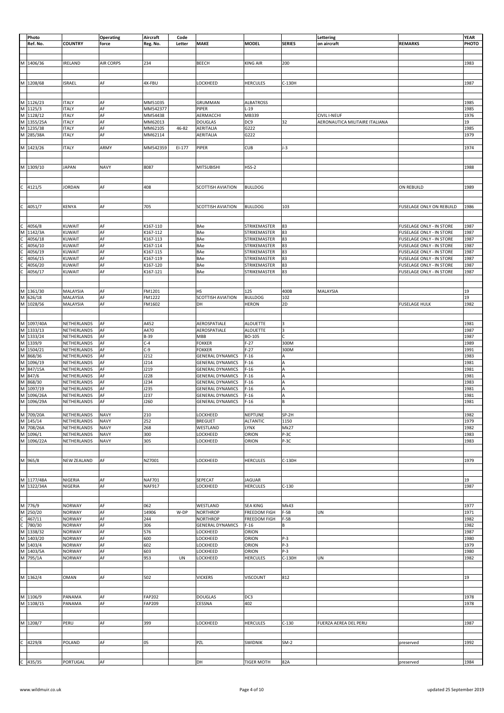|                                                 | Photo                                                                               |                    | <b>Operating</b> | Aircraft      | Code   |                          |                     |                | Lettering                      |                                 | <b>YEAR</b> |
|-------------------------------------------------|-------------------------------------------------------------------------------------|--------------------|------------------|---------------|--------|--------------------------|---------------------|----------------|--------------------------------|---------------------------------|-------------|
|                                                 | Ref. No.                                                                            | <b>COUNTRY</b>     | force            | Reg. No.      | Letter | <b>MAKE</b>              | <b>MODEL</b>        | <b>SERIES</b>  | on aircraft                    | <b>REMARKS</b>                  | PHOTO       |
|                                                 |                                                                                     |                    |                  |               |        |                          |                     |                |                                |                                 |             |
|                                                 |                                                                                     |                    |                  |               |        |                          |                     |                |                                |                                 |             |
|                                                 |                                                                                     |                    |                  |               |        |                          |                     |                |                                |                                 |             |
|                                                 | M 1406/36                                                                           | IRELAND            | <b>AIR CORPS</b> | 234           |        | BEECH                    | <b>KING AIR</b>     | 200            |                                |                                 | 1983        |
|                                                 |                                                                                     |                    |                  |               |        |                          |                     |                |                                |                                 |             |
|                                                 |                                                                                     |                    |                  |               |        |                          |                     |                |                                |                                 |             |
|                                                 | M 1208/68                                                                           | <b>ISRAEL</b>      | AF               | 4X-FBU        |        | LOCKHEED                 | <b>HERCULES</b>     | C-130H         |                                |                                 | 1987        |
|                                                 |                                                                                     |                    |                  |               |        |                          |                     |                |                                |                                 |             |
|                                                 |                                                                                     |                    |                  |               |        |                          |                     |                |                                |                                 |             |
|                                                 |                                                                                     |                    |                  |               |        |                          |                     |                |                                |                                 |             |
|                                                 | M 1126/23<br>M 1125/3<br>M 1128/12<br>M 1355/25A<br>M 1235/38                       | <b>ITALY</b>       | AF               | MM51035       |        | GRUMMAN                  | <b>ALBATROSS</b>    |                |                                |                                 | 1985        |
|                                                 |                                                                                     | <b>ITALY</b>       | AF               | MM542377      |        | PIPER                    | $L-19$              |                |                                |                                 | 1985        |
|                                                 |                                                                                     | <b>ITALY</b>       | AF               |               |        |                          |                     |                |                                |                                 |             |
|                                                 |                                                                                     |                    |                  | MM54438       |        | AERMACCHI                | MB339               |                | <b>CIVIL I-NEUF</b>            |                                 | 1976        |
|                                                 |                                                                                     | <b>ITALY</b>       | AF               | MM62013       |        | <b>DOUGLAS</b>           | DC9                 | 32             | AERONAUTICA MILITAIRE ITALIANA |                                 | 19          |
|                                                 |                                                                                     | <b>ITALY</b>       | AF               | MM62105       | 46-82  | AERITALIA                | G222                |                |                                |                                 | 1985        |
|                                                 | M 285/38A                                                                           | <b>ITALY</b>       | AF               | MM62114       |        | AERITALIA                | G222                |                |                                |                                 | 1979        |
|                                                 |                                                                                     |                    |                  |               |        |                          |                     |                |                                |                                 |             |
|                                                 | M 1423/26                                                                           | <b>ITALY</b>       | ARMY             | MM542359      | EI-177 | PIPER                    | <b>CUB</b>          | $J-3$          |                                |                                 | 1974        |
|                                                 |                                                                                     |                    |                  |               |        |                          |                     |                |                                |                                 |             |
|                                                 |                                                                                     |                    |                  |               |        |                          |                     |                |                                |                                 |             |
|                                                 |                                                                                     |                    |                  |               |        |                          |                     |                |                                |                                 |             |
|                                                 | M 1309/10                                                                           | <b>JAPAN</b>       | <b>NAVY</b>      | 8087          |        | <b>MITSUBISHI</b>        | $HSS-2$             |                |                                |                                 | 1988        |
|                                                 |                                                                                     |                    |                  |               |        |                          |                     |                |                                |                                 |             |
|                                                 |                                                                                     |                    |                  |               |        |                          |                     |                |                                |                                 |             |
|                                                 |                                                                                     |                    |                  |               |        |                          |                     |                |                                |                                 |             |
| c                                               | 4121/5                                                                              | <b>JORDAN</b>      | AF               | 408           |        | <b>SCOTTISH AVIATION</b> | <b>BULLDOG</b>      |                |                                | ON REBUILD                      | 1989        |
|                                                 |                                                                                     |                    |                  |               |        |                          |                     |                |                                |                                 |             |
|                                                 |                                                                                     |                    |                  |               |        |                          |                     |                |                                |                                 |             |
| $\overline{c}$                                  | 4051/7                                                                              | <b>KENYA</b>       | AF               | 705           |        | <b>SCOTTISH AVIATION</b> | <b>BULLDOG</b>      | 103            |                                | FUSELAGE ONLY ON REBUILD        | 1986        |
|                                                 |                                                                                     |                    |                  |               |        |                          |                     |                |                                |                                 |             |
|                                                 |                                                                                     |                    |                  |               |        |                          |                     |                |                                |                                 |             |
|                                                 |                                                                                     |                    |                  |               |        |                          |                     |                |                                |                                 |             |
|                                                 |                                                                                     | KUWAIT             | AF               | K167-110      |        | BAe                      | STRIKEMASTER        | 83             |                                | FUSELAGE ONLY - IN STORE        | 1987        |
|                                                 | C 4056/8<br>M 1142/3A                                                               | <b>KUWAIT</b>      | AF               | K167-112      |        | BAe                      | STRIKEMASTER        | 83             |                                | FUSELAGE ONLY - IN STORE        | 1987        |
|                                                 | 4056/18                                                                             | KUWAIT             | AF               | K167-113      |        | BAe                      | STRIKEMASTER        | 83             |                                | <b>FUSELAGE ONLY - IN STORE</b> | 1987        |
|                                                 | 4056/10                                                                             | <b>KUWAIT</b>      | AF               | K167-114      |        | BAe                      | STRIKEMASTER        | 83             |                                | <b>FUSELAGE ONLY - IN STORE</b> | 1987        |
|                                                 |                                                                                     |                    |                  |               |        |                          |                     |                |                                |                                 |             |
|                                                 | 4056/19                                                                             | KUWAIT             | AF               | K167-115      |        | BAe                      | STRIKEMASTER        | 83             |                                | FUSELAGE ONLY - IN STORE        | 1987        |
|                                                 | 4056/15                                                                             | <b>KUWAIT</b>      | AF               | K167-119      |        | BAe                      | STRIKEMASTER        | 83             |                                | <b>FUSELAGE ONLY - IN STORE</b> | 1987        |
| $\frac{1}{2}$ or $\frac{1}{2}$ or $\frac{1}{2}$ | 4056/20                                                                             | <b>KUWAIT</b>      | AF               | K167-120      |        | BAe                      | STRIKEMASTER        | 83             |                                | <b>FUSELAGE ONLY - IN STORE</b> | 1987        |
|                                                 | 4056/17                                                                             | KUWAIT             | AF               | K167-121      |        | BAe                      | STRIKEMASTER        | 83             |                                | FUSELAGE ONLY - IN STORE        | 1987        |
|                                                 |                                                                                     |                    |                  |               |        |                          |                     |                |                                |                                 |             |
|                                                 |                                                                                     |                    |                  |               |        |                          |                     |                |                                |                                 |             |
|                                                 |                                                                                     |                    |                  |               |        |                          |                     |                |                                |                                 |             |
|                                                 | M 1361/30<br>M 626/18                                                               | MALAYSIA           | AF               | FM1201        |        | <b>HS</b>                | 125                 | 400B           | MALAYSIA                       |                                 | 19          |
|                                                 |                                                                                     | MALAYSIA           | AF               | FM1222        |        | <b>SCOTTISH AVIATION</b> | <b>BULLDOG</b>      | 102            |                                |                                 | 19          |
|                                                 | M 1028/56                                                                           | MALAYSIA           | AF               | FM1602        |        | DH                       | <b>HERON</b>        | 2D             |                                | <b>FUSELAGE HULK</b>            | 1982        |
|                                                 |                                                                                     |                    |                  |               |        |                          |                     |                |                                |                                 |             |
|                                                 |                                                                                     |                    |                  |               |        |                          |                     |                |                                |                                 |             |
|                                                 |                                                                                     |                    |                  |               |        |                          |                     |                |                                |                                 |             |
|                                                 | M 1097/40A<br>M 1333/13<br>M 1333/24<br>M 1339/9<br>M 1504/21                       | NETHERLANDS        | AF               | A452          |        | AEROSPATIALE             | <b>ALOUETTE</b>     | $\overline{3}$ |                                |                                 | 1981        |
|                                                 |                                                                                     | NETHERLANDS        | AF               | A470          |        | AEROSPATIALE             | <b>ALOUETTE</b>     | 3              |                                |                                 | 1987        |
|                                                 |                                                                                     | NETHERLANDS        | AF               | B-39          |        | MBB                      | BO-105              | Ċ              |                                |                                 | 1987        |
|                                                 |                                                                                     | NETHERLANDS        | AF               | $C-4$         |        | <b>FOKKER</b>            | $F-27$              | 300M           |                                |                                 | 1989        |
|                                                 |                                                                                     | NETHERLANDS        | AF               | $C-9$         |        | <b>FOKKER</b>            | $F-27$              | 300M           |                                |                                 | 1991        |
|                                                 | $M$ 868/36                                                                          |                    |                  |               |        |                          |                     |                |                                |                                 |             |
|                                                 |                                                                                     | NETHERLANDS        | AF               | J212          |        | <b>GENERAL DYNAMICS</b>  | $F-16$              | A              |                                |                                 | 1983        |
|                                                 |                                                                                     | NETHERLANDS        | AF               | J214          |        | <b>GENERAL DYNAMICS</b>  | $F-16$              | A              |                                |                                 | 1981        |
|                                                 |                                                                                     | NETHERLANDS        | AF               | J219          |        | <b>GENERAL DYNAMICS</b>  | $F-16$              | A              |                                |                                 | 1981        |
|                                                 | M 886/30<br>M 847/15A<br>M 847/6<br>M 868/30                                        | NETHERLANDS        | AF               | J228          |        | <b>GENERAL DYNAMICS</b>  | $F-16$              | A              |                                |                                 | 1981        |
|                                                 |                                                                                     | NETHERLANDS        | AF               | 1234          |        | <b>GENERAL DYNAMICS</b>  | $F-16$              | A              |                                |                                 | 1983        |
|                                                 | M 1097/19                                                                           | NETHERLANDS        | AF               | J235          |        | <b>GENERAL DYNAMICS</b>  | $F-16$              | A              |                                |                                 | 1981        |
|                                                 |                                                                                     |                    |                  |               |        |                          |                     |                |                                |                                 |             |
|                                                 | M 1096/26A                                                                          | NETHERLANDS        | AF               | J237          |        | <b>GENERAL DYNAMICS</b>  | $F-16$              | A              |                                |                                 | 1981        |
|                                                 | M 1096/29A                                                                          | NETHERLANDS        | AF               | J260          |        | <b>GENERAL DYNAMICS</b>  | $F-16$              | lв             |                                |                                 | 1981        |
|                                                 |                                                                                     |                    |                  |               |        |                          |                     |                |                                |                                 |             |
|                                                 |                                                                                     | NETHERLANDS        | <b>NAVY</b>      | 210           |        | LOCKHEED                 | NEPTUNE             | SP-2H          |                                |                                 | 1982        |
|                                                 |                                                                                     | NETHERLANDS        | <b>NAVY</b>      | 252           |        | <b>BREGUET</b>           | <b>ALTANTIC</b>     | 1150           |                                |                                 | 1979        |
|                                                 |                                                                                     | NETHERLANDS        | <b>NAVY</b>      | 268           |        | WESTLAND                 | LYNX                | Mk27           |                                |                                 | 1982        |
|                                                 |                                                                                     |                    |                  |               |        |                          |                     |                |                                |                                 |             |
|                                                 |                                                                                     | NETHERLANDS        | <b>NAVY</b>      | 300           |        | LOCKHEED                 | ORION               | P-3C           |                                |                                 | 1983        |
|                                                 | M 709/20A<br>M 145/14<br>M 708/26A<br>M 1096/1<br>M 1096/22A                        | NETHERLANDS        | <b>NAVY</b>      | 305           |        | LOCKHEED                 | ORION               | P-3C           |                                |                                 | 1983        |
|                                                 |                                                                                     |                    |                  |               |        |                          |                     |                |                                |                                 |             |
|                                                 |                                                                                     |                    |                  |               |        |                          |                     |                |                                |                                 |             |
|                                                 | M 965/8                                                                             | <b>NEW ZEALAND</b> | AF               | NZ7001        |        | LOCKHEED                 | <b>HERCULES</b>     | C-130H         |                                |                                 | 1979        |
|                                                 |                                                                                     |                    |                  |               |        |                          |                     |                |                                |                                 |             |
|                                                 |                                                                                     |                    |                  |               |        |                          |                     |                |                                |                                 |             |
|                                                 |                                                                                     |                    |                  |               |        |                          |                     |                |                                |                                 |             |
|                                                 |                                                                                     | NIGERIA            | AF               | <b>NAF701</b> |        | SEPECAT                  | <b>JAGUAR</b>       |                |                                |                                 | 19          |
|                                                 | M 1177/48A<br>M 1322/34A                                                            | NIGERIA            | AF               | <b>NAF917</b> |        | LOCKHEED                 | <b>HERCULES</b>     | $C-130$        |                                |                                 | 1987        |
|                                                 |                                                                                     |                    |                  |               |        |                          |                     |                |                                |                                 |             |
|                                                 |                                                                                     |                    |                  |               |        |                          |                     |                |                                |                                 |             |
|                                                 |                                                                                     | <b>NORWAY</b>      | AF               | 062           |        | WESTLAND                 | <b>SEA KING</b>     | Mk43           |                                |                                 | 1977        |
|                                                 |                                                                                     |                    |                  |               |        |                          |                     |                |                                |                                 |             |
|                                                 | M 776/9<br>M 250/20                                                                 | <b>NORWAY</b>      | AF               | 14906         | W-DP   | <b>NORTHROP</b>          | <b>FREEDOM FIGH</b> | $F-5B$         | <b>UN</b>                      |                                 | 1971        |
|                                                 |                                                                                     | <b>NORWAY</b>      | AF               | 244           |        | <b>NORTHROP</b>          | <b>FREEDOM FIGH</b> | F-5B           |                                |                                 | 1982        |
|                                                 |                                                                                     | <b>NORWAY</b>      | AF               | 306           |        | <b>GENERAL DYNAMICS</b>  | $F-16$              | В              |                                |                                 | 1982        |
|                                                 | M 250/20<br>C 467/11<br>C 780/30<br>M 1338/32<br>M 1403/20<br>M 1403/5A<br>M 795/1A | <b>NORWAY</b>      | AF               | 576           |        | LOCKHEED                 | ORION               |                |                                |                                 | 1987        |
|                                                 |                                                                                     | <b>NORWAY</b>      | AF               | 600           |        | LOCKHEED                 | ORION               | $P-3$          |                                |                                 | 1980        |
|                                                 |                                                                                     | <b>NORWAY</b>      | AF               | 602           |        | LOCKHEED                 | ORION               | $P-3$          |                                |                                 | 1979        |
|                                                 |                                                                                     |                    |                  |               |        |                          |                     |                |                                |                                 |             |
|                                                 |                                                                                     | <b>NORWAY</b>      | AF               | 603           |        | LOCKHEED                 | ORION               | $P-3$          |                                |                                 | 1980        |
|                                                 |                                                                                     | <b>NORWAY</b>      | AF               | 953           | UN     | LOCKHEED                 | <b>HERCULES</b>     | C-130H         | <b>UN</b>                      |                                 | 1982        |
|                                                 |                                                                                     |                    |                  |               |        |                          |                     |                |                                |                                 |             |
|                                                 |                                                                                     |                    |                  |               |        |                          |                     |                |                                |                                 |             |
|                                                 | M 1362/4                                                                            | <b>OMAN</b>        | AF               | 502           |        | <b>VICKERS</b>           | VISCOUNT            | 812            |                                |                                 | 19          |
|                                                 |                                                                                     |                    |                  |               |        |                          |                     |                |                                |                                 |             |
|                                                 |                                                                                     |                    |                  |               |        |                          |                     |                |                                |                                 |             |
|                                                 |                                                                                     |                    |                  |               |        |                          |                     |                |                                |                                 |             |
|                                                 | M 1106/9<br>M 1108/15                                                               | PANAMA             | AF               | <b>FAP202</b> |        | <b>DOUGLAS</b>           | DC3                 |                |                                |                                 | 1978        |
|                                                 |                                                                                     | PANAMA             | AF               | FAP209        |        | CESSNA                   | 402                 |                |                                |                                 | 1978        |
|                                                 |                                                                                     |                    |                  |               |        |                          |                     |                |                                |                                 |             |
|                                                 |                                                                                     |                    |                  |               |        |                          |                     |                |                                |                                 |             |
|                                                 |                                                                                     |                    |                  |               |        |                          |                     |                |                                |                                 |             |
|                                                 | M 1208/7                                                                            | PERU               | AF               | 399           |        | LOCKHEED                 | <b>HERCULES</b>     | $C-130$        | FUERZA AEREA DEL PERU          |                                 | 1987        |
|                                                 |                                                                                     |                    |                  |               |        |                          |                     |                |                                |                                 |             |
|                                                 |                                                                                     |                    |                  |               |        |                          |                     |                |                                |                                 |             |
| $\overline{c}$                                  | 4229/8                                                                              | POLAND             | AF               | 05            |        | PZL                      | SWIDNIK             | $SM-2$         |                                | preserved                       | 1992        |
|                                                 |                                                                                     |                    |                  |               |        |                          |                     |                |                                |                                 |             |
|                                                 |                                                                                     |                    |                  |               |        |                          |                     |                |                                |                                 |             |
|                                                 | $C$ 435/35                                                                          |                    |                  |               |        |                          |                     |                |                                |                                 |             |
|                                                 |                                                                                     | PORTUGAL           | AF               |               |        | <b>DH</b>                | <b>TIGER MOTH</b>   | 82A            |                                | preserved                       | 1984        |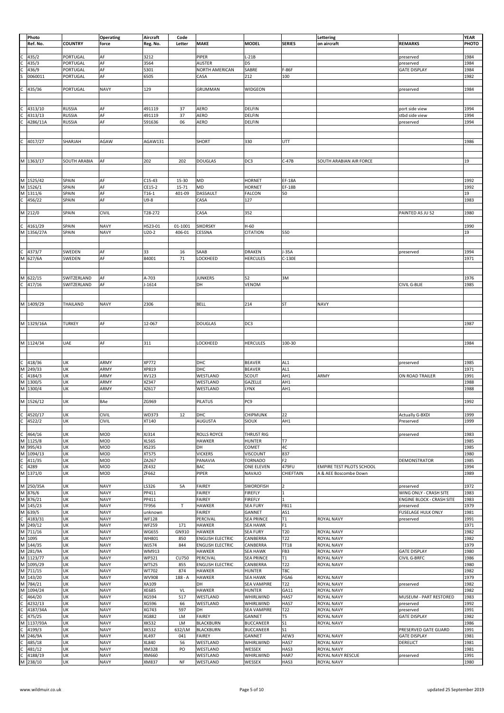|   | Photo      |                     | Operating    | Aircraft     | Code         |                         |                    |                 | Lettering                        |                                  | <b>YEAR</b> |
|---|------------|---------------------|--------------|--------------|--------------|-------------------------|--------------------|-----------------|----------------------------------|----------------------------------|-------------|
|   | Ref. No.   | <b>COUNTRY</b>      | force        | Reg. No.     | Letter       | <b>MAKE</b>             | <b>MODEL</b>       | <b>SERIES</b>   | on aircraft                      | <b>REMARKS</b>                   | PHOTO       |
|   |            |                     |              |              |              |                         |                    |                 |                                  |                                  |             |
|   | 435/2      | PORTUGAL            | AF           | 3212         |              | PIPER                   | $L-21B$            |                 |                                  | preserved                        | 1984        |
|   | 435/3      | PORTUGAL            | AF           | 3564         |              | AUSTER                  | D5                 |                 |                                  | preserved                        | 1984        |
|   | 436/9      | PORTUGAL            | AF           | 5301         |              | NORTH AMERICAN          | SABRE              | F-86F           |                                  | <b>GATE DISPLAY</b>              | 1984        |
|   | 0060011    | PORTUGAL            | AF           | 6505         |              | CASA                    | 212                | 100             |                                  |                                  | 1982        |
|   |            |                     |              |              |              |                         |                    |                 |                                  |                                  |             |
|   | 435/36     | PORTUGAL            | <b>NAVY</b>  | 129          |              | GRUMMAN                 | WIDGEON            |                 |                                  | preserved                        | 1984        |
|   |            |                     |              |              |              |                         |                    |                 |                                  |                                  |             |
|   |            |                     |              |              |              |                         |                    |                 |                                  |                                  |             |
| С | 4313/10    | <b>RUSSIA</b>       | AF           | 491119       | 37           | <b>AERO</b>             | DELFIN             |                 |                                  | port side view                   | 1994        |
|   | 4313/13    | <b>RUSSIA</b>       | AF           | 491119       | 37           | <b>AERO</b>             | DELFIN             |                 |                                  | stbd side view                   | 1994        |
|   | 4286/11A   | <b>RUSSIA</b>       | AF           | 591636       | 06           | AERO                    | DELFIN             |                 |                                  | preserved                        | 1994        |
|   |            |                     |              |              |              |                         |                    |                 |                                  |                                  |             |
|   |            |                     |              |              |              |                         |                    |                 |                                  |                                  |             |
|   | 4017/27    | SHARJAH             | AGAW         | AGAW131      |              | SHORT                   | 330                | UTT             |                                  |                                  | 1986        |
|   |            |                     |              |              |              |                         |                    |                 |                                  |                                  |             |
|   |            |                     |              |              |              |                         |                    |                 |                                  |                                  |             |
|   | M 1363/17  | <b>SOUTH ARABIA</b> | AF           | 202          | 202          | <b>DOUGLAS</b>          | DC3                | $C-47B$         | SOUTH ARABIAN AIR FORCE          |                                  | 19          |
|   |            |                     |              |              |              |                         |                    |                 |                                  |                                  |             |
|   |            |                     |              |              |              |                         |                    |                 |                                  |                                  |             |
|   | M 1525/42  | SPAIN               | AF           | $C15-43$     | 15-30        | MD                      | <b>HORNET</b>      | <b>EF-18A</b>   |                                  |                                  | 1992        |
|   | M 1526/1   | SPAIN               | AF           | CE15-2       | 15-71        | MD                      | <b>HORNET</b>      | <b>EF-18B</b>   |                                  |                                  | 1992        |
| M | 1311/6     | SPAIN               | AF           | $T16-1$      | 401-09       | DASSAULT                | FALCON             | 50              |                                  |                                  | 19          |
| C | 456/22     | SPAIN               | AF           | $U9-8$       |              | CASA                    | 127                |                 |                                  |                                  | 1983        |
|   |            |                     |              |              |              |                         |                    |                 |                                  |                                  |             |
|   | M 212/0    | SPAIN               | CIVIL        | T28-272      |              | CASA                    | 352                |                 |                                  | PAINTED AS JU 52                 | 1980        |
|   |            |                     |              |              |              |                         |                    |                 |                                  |                                  |             |
| c | 4161/29    | SPAIN               | <b>NAVY</b>  | HS23-01      | 01-1001      | <b>SIKORSKY</b>         | $H-60$             |                 |                                  |                                  | 1990        |
|   | M 1356/27A | SPAIN               | <b>NAVY</b>  | $U20-2$      | 406-01       | CESSNA                  | CITATION           | 550             |                                  |                                  | 19          |
|   |            |                     |              |              |              |                         |                    |                 |                                  |                                  |             |
|   |            |                     |              |              |              |                         |                    |                 |                                  |                                  |             |
| c | 4373/7     | SWEDEN              | AF           | 33           | 16           | SAAB                    | <b>DRAKEN</b>      | $J-35A$         |                                  | preserved                        | 1994        |
| M | 627/6A     | SWEDEN              | AF           | 84001        | 71           | LOCKHEED                | HERCULES           | C-130E          |                                  |                                  | 1971        |
|   |            |                     |              |              |              |                         |                    |                 |                                  |                                  |             |
|   |            |                     |              |              |              |                         |                    |                 |                                  |                                  |             |
|   | M 622/15   | SWITZERLAND         | AF           | A-703        |              | <b>JUNKERS</b>          | 52                 | 3M              |                                  |                                  | 1976        |
| C | 417/16     | SWITZERLAND         | AF           | $J - 1614$   |              | DH                      | VENOM              |                 |                                  | CIVIL G-BLIE                     | 1985        |
|   |            |                     |              |              |              |                         |                    |                 |                                  |                                  |             |
|   |            |                     |              |              |              |                         |                    |                 |                                  |                                  |             |
|   | M 1409/29  | THAILAND            | <b>NAVY</b>  | 2306         |              | <b>BELL</b>             | 214                | ST              | <b>NAVY</b>                      |                                  |             |
|   |            |                     |              |              |              |                         |                    |                 |                                  |                                  |             |
|   |            |                     |              |              |              |                         |                    |                 |                                  |                                  |             |
|   | M 1329/16A | <b>TURKEY</b>       | AF           | 12-067       |              | <b>DOUGLAS</b>          | DC3                |                 |                                  |                                  | 1987        |
|   |            |                     |              |              |              |                         |                    |                 |                                  |                                  |             |
|   |            |                     |              |              |              |                         |                    |                 |                                  |                                  |             |
|   | M 1124/34  | UAE                 | AF           | 311          |              | LOCKHEED                | HERCULES           | 100-30          |                                  |                                  | 1984        |
|   |            |                     |              |              |              |                         |                    |                 |                                  |                                  |             |
|   |            |                     |              |              |              |                         |                    |                 |                                  |                                  |             |
| c | 418/36     | UK                  | ARMY         | XP772        |              | DHC                     | <b>BEAVER</b>      | AL <sub>1</sub> |                                  | preserved                        | 1985        |
| M | 249/33     | UK                  | ARMY         | XP819        |              | DHC                     | <b>BEAVER</b>      | AL1             |                                  |                                  | 1971        |
| C | 4184/3     | UK                  | ARMY         | XV123        |              | WESTLAND                | SCOUT              | AH1             | ARMY                             | ON ROAD TRAILER                  | 1991        |
| M | 1300/5     | UK                  | ARMY         | XZ347        |              | WESTLAND                | GAZELLE            | AH1             |                                  |                                  | 1988        |
|   | M 1300/4   | UK                  | ARMY         | XZ617        |              | WESTLAND                | LYNX               | AH1             |                                  |                                  | 1988        |
|   |            | UK                  | BAe          | ZG969        |              | PILATUS                 | PC9                |                 |                                  |                                  | 1992        |
|   | M 1526/12  |                     |              |              |              |                         |                    |                 |                                  |                                  |             |
| C | 4520/17    | UK                  | CIVIL        | WD373        | 12           | DHC                     | CHIPMUNK           | 22              |                                  | <b>Actually G-BXDI</b>           | 1999        |
| C | 4522/2     | UK                  | <b>CIVIL</b> | XT140        |              | AUGUSTA                 | SIOUX              | AH1             |                                  | Preserved                        | 1999        |
|   |            |                     |              |              |              |                         |                    |                 |                                  |                                  |             |
|   | 464/16     | UK                  | MOD          | XJ314        |              | <b>ROLLS ROYCE</b>      | THRUST RIG         |                 |                                  | preserved                        | 1983        |
| M | 1125/8     | UK                  | MOD          | XL565        |              | <b>HAWKER</b>           | <b>HUNTER</b>      | <b>T7</b>       |                                  |                                  | 1985        |
| М | 995/43     | UK                  | MOD          | XS235        |              | DH                      | COMET              | 4C              |                                  |                                  | 1985        |
| M | 1094/13    | UK                  | MOD          | XT575        |              | <b>VICKERS</b>          | VISCOUNT           | 837             |                                  |                                  | 1980        |
|   | 411/35     | UK                  | MOD          | ZA267        |              | PANAVIA                 | <b>TORNADO</b>     | F <sub>2</sub>  |                                  | DEMONSTRATOR                     | 1985        |
|   | 4289       | UK                  | MOD          | ZE432        |              | BAC                     | ONE ELEVEN         | 479FU           | <b>EMPIRE TEST PILOTS SCHOOL</b> |                                  | 1994        |
| M | 1371/0     | UK                  | MOD          | ZF662        |              | PIPER                   | NAVAJO             | CHIEFTAIN       | A & AEE Boscombe Down            |                                  | 1989        |
|   |            |                     |              |              |              |                         |                    |                 |                                  |                                  |             |
| M | 250/35A    | UK                  | <b>NAVY</b>  | LS326        | 5A           | <b>FAIREY</b>           | SWORDFISH          | $\overline{2}$  |                                  | preserved                        | 1972        |
| M | 876/6      | UK                  | <b>NAVY</b>  | PP411        |              | <b>FAIREY</b>           | <b>FIREFLY</b>     | $\mathbf{1}$    |                                  | WING ONLY - CRASH SITE           | 1983        |
| М | 876/21     | UK                  | <b>NAVY</b>  | PP411        |              | <b>FAIREY</b>           | <b>FIREFLY</b>     | $\overline{1}$  |                                  | <b>ENGINE BLOCK - CRASH SITE</b> | 1983        |
| M | 145/23     | UK                  | <b>NAVY</b>  | TF956        | T            | <b>HAWKER</b>           | <b>SEA FURY</b>    | FB11            |                                  | preserved                        | 1979        |
| M | 639/5      | UK                  | <b>NAVY</b>  | unknown      |              | <b>FAIREY</b>           | GANNET             | AS1             |                                  | <b>FUSELAGE HULK ONLY</b>        | 1981        |
|   | 4183/31    | UK                  | <b>NAVY</b>  | <b>WF128</b> |              | PERCIVAL                | <b>SEA PRINCE</b>  | T1              | <b>ROYAL NAVY</b>                | preserved                        | 1991        |
| M | 249/12     | UK                  | <b>NAVY</b>  | <b>WF259</b> | 171          | <b>HAWKER</b>           | <b>SEA HAWK</b>    | F1              |                                  |                                  | 1971        |
| M | 711/16     | UK                  | <b>NAVY</b>  | <b>WG655</b> | GN910        | <b>HAWKER</b>           | <b>SEA FURY</b>    | T20             | ROYAL NAVY                       |                                  | 1982        |
| M | 1095       | UK                  | <b>NAVY</b>  | <b>WH801</b> | 850          | <b>ENGLISH ELECTRIC</b> | CANBERRA           | T22             | ROYAL NAVY                       |                                  | 1982        |
| M | 144/35     | UK                  | <b>NAVY</b>  | WJ574        | 844          | <b>ENGLISH ELECTRIC</b> | CANBERRA           | <b>TT18</b>     | ROYAL NAVY                       |                                  | 1979        |
| M | 281/9A     | UK                  | <b>NAVY</b>  | WM913        |              | <b>HAWKER</b>           | <b>SEA HAWK</b>    | FB3             | ROYAL NAVY                       | <b>GATE DISPLAY</b>              | 1980        |
| M | 1123/77    | UK                  | <b>NAVY</b>  | WP321        | <b>CU750</b> | PERCIVAL                | <b>SEA PRINCE</b>  | T1              | ROYAL NAVY                       | <b>CIVIL G-BRFC</b>              | 1986        |
| M | 1095/29    | UK                  | <b>NAVY</b>  | <b>WT525</b> | 855          | <b>ENGLISH ELECTRIC</b> | CANBERRA           | T22             | ROYAL NAVY                       |                                  | 1980        |
| М | 711/15     | UK                  | <b>NAVY</b>  | WT702        | 874          | <b>HAWKER</b>           | <b>HUNTER</b>      | T8C             |                                  |                                  | 1982        |
| M | 143/20     | UK                  | <b>NAVY</b>  | <b>WV908</b> | $188 - A$    | <b>HAWKER</b>           | <b>SEA HAWK</b>    | FGA6            | ROYAL NAVY                       |                                  | 1979        |
| M | 784/21     | UK                  | <b>NAVY</b>  | XA109        |              | DH                      | <b>SEA VAMPIRE</b> | T22             | ROYAL NAVY                       | preserved                        | 1982        |
| M | 1094/24    | UK                  | <b>NAVY</b>  | XE685        | VL           | <b>HAWKER</b>           | <b>HUNTER</b>      | GA11            | <b>ROYAL NAVY</b>                |                                  | 1982        |
|   | 464/20     | UK                  | <b>NAVY</b>  | XG594        | 517          | WESTLAND                | WHIRLWIND          | HAS7            | ROYAL NAVY                       | MUSEUM - PART RESTORED           | 1983        |
|   | 4232/13    | UK                  | <b>NAVY</b>  | XG596        | 66           | WESTLAND                | WHIRLWIND          | HAS7            | ROYAL NAVY                       | preserved                        | 1992        |
|   | 4187/34A   | UK                  | <b>NAVY</b>  | XG743        | 597          | DH                      | <b>SEA VAMPIRE</b> | T22             | ROYAL NAVY                       | preserved                        | 1991        |
|   | 475/25     | UK                  | <b>NAVY</b>  | XG882        | LM           | <b>FAIREY</b>           | GANNET             | T5              | ROYAL NAVY                       | <b>GATE DISPLAY</b>              | 1982        |
| M | 1137/93A   | UK                  | <b>NAVY</b>  | XK532        | LM           | <b>BLACKBURN</b>        | <b>BUCCANEER</b>   | S <sub>1</sub>  | <b>ROYAL NAVY</b>                |                                  | 1986        |
|   | 4199/3     | UK                  | <b>NAVY</b>  | <b>XK532</b> | 632/LM       | <b>BLACKBURN</b>        | <b>BUCCANEER</b>   | S <sub>1</sub>  |                                  | PRESERVED GATE GUARD             | 1991        |
| м | 246/9A     | UK                  | <b>NAVY</b>  | XL497        | 041          | <b>FAIREY</b>           | GANNET             | AEW3            | ROYAL NAVY                       | <b>GATE DISPLAY</b>              | 1981        |
|   | 485/18     | UK                  | <b>NAVY</b>  | XL840        | 56           | WESTLAND                | WHIRLWIND          | HAS7            | ROYAL NAVY                       | DERELICT                         | 1981        |
|   | 481/12     | UK                  | <b>NAVY</b>  | XM328        | PO           | WESTLAND                | WESSEX             | HAS3            | ROYAL NAVY                       |                                  | 1981        |
|   | 4188/19    | UK                  | <b>NAVY</b>  | XM660        |              | WESTLAND                | WHIRLWIND          | HAR7            | ROYAL NAVY RESCUE                | preserved                        | 1991        |
|   | M 238/10   | UK                  | <b>NAVY</b>  | XM837        | NF           | WESTLAND                | WESSEX             | HAS3            | ROYAL NAVY                       |                                  | 1980        |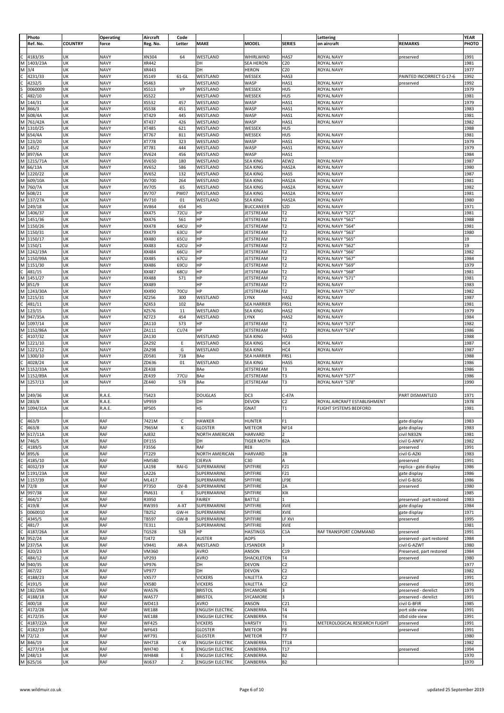|              | Photo               |                | <b>Operating</b>           | Aircraft              | Code               |                                  |                                     |                        | Lettering                       |                                   | YEAR         |
|--------------|---------------------|----------------|----------------------------|-----------------------|--------------------|----------------------------------|-------------------------------------|------------------------|---------------------------------|-----------------------------------|--------------|
|              | Ref. No.            | <b>COUNTRY</b> | force                      | Reg. No.              | Letter             | MAKE                             | <b>MODEL</b>                        | <b>SERIES</b>          | on aircraft                     | <b>REMARKS</b>                    | PHOTO        |
|              |                     |                |                            |                       |                    |                                  |                                     |                        |                                 |                                   |              |
| с            | 4183/35             | UK             | <b>NAVY</b>                | XN304                 | 64                 | WESTLAND                         | WHIRLWIND                           | HAS7                   | ROYAL NAVY                      | preserved                         | 1991         |
| M            | 1403/23A            | UK             | <b>NAVY</b>                | XR442                 |                    | DH                               | <b>SEA HERON</b>                    | C <sub>20</sub>        | <b>ROYAL NAVY</b>               |                                   | 1981         |
| M            | 3/4                 | UK             | <b>NAVY</b>                | XR443                 |                    | DH                               | <b>HERON</b>                        | C <sub>20</sub>        | ROYAL NAVY                      |                                   | 1977         |
| C            | 4231/33             | UK             | <b>NAVY</b>                | XS149                 | $61-GL$            | WESTLAND                         | WESSEX                              | HAS3                   |                                 | PAINTED INCORRECT G-17-6          | 1992         |
| с            | 4232/5              | UK             | <b>NAVY</b>                | XS463                 |                    | WESTLAND                         | WASP                                | HAS1                   | <b>ROYAL NAVY</b>               | preserved                         | 1992         |
|              | 0060009             | UK             | <b>NAVY</b>                | XS513                 | VP                 | WESTLAND                         | WESSEX                              | HU5                    | ROYAL NAVY                      |                                   | 1979         |
| С            | 482/10              | UK             | <b>NAVY</b>                | XS522                 |                    | WESTLAND                         | WESSEX                              | HU5                    | ROYAL NAVY                      |                                   | 1981         |
| M            | 144/31              | UK             | <b>NAVY</b>                | XS532                 | 457                | WESTLAND                         | WASP                                | HAS1                   | ROYAL NAVY                      |                                   | 1979         |
| M            | 866/3               | UK             | <b>NAVY</b>                | XS538                 | 451                | WESTLAND                         | WASP                                | HAS1                   | ROYAL NAVY                      |                                   | 1983         |
| M            | 608/4A              | UK             | <b>NAVY</b>                | XT429                 | 445                | WESTLAND                         | WASP                                | HAS1                   | ROYAL NAVY                      |                                   | 1981         |
| M            | 761/42A             | UK             | <b>NAVY</b>                | XT437                 | 426                | WESTLAND                         | WASP                                | HAS1                   | ROYAL NAVY                      |                                   | 1982         |
| M            | 1310/25             | UK             | <b>NAVY</b>                | XT485                 | 621                | WESTLAND                         | WESSEX                              | HU5                    |                                 |                                   | 1988         |
| M            | 654/4A              | UK             | <b>NAVY</b>                | XT767                 | 811                | WESTLAND                         | WESSEX                              | HU5                    | ROYAL NAVY                      |                                   | 1981         |
| M            | 123/20              | UK             | <b>NAVY</b>                | XT778                 | 323                | WESTLAND                         | WASP                                | HAS1                   | ROYAL NAVY<br><b>ROYAL NAVY</b> |                                   | 1979         |
| M            | 145/2               | UK             | <b>NAVY</b>                | XT781                 | 444                | WESTLAND                         | WASP                                | HAS1                   |                                 |                                   | 1979         |
| M<br>M       | 897/6A<br>1215/71A  | UK<br>UK       | <b>NAVY</b><br><b>NAVY</b> | XV624<br>XV650        | 456<br>180         | WESTLAND<br>WESTLAND             | WASP<br><b>SEA KING</b>             | HAS1<br>AEW2           | ROYAL NAVY                      |                                   | 1984<br>1987 |
| M            | 66/13A              | UK             | <b>NAVY</b>                | XV652                 | 586                | WESTLAND                         | <b>SEA KING</b>                     | HAS2A                  | ROYAL NAVY                      |                                   | 1980         |
| M            | 1220/22             | UK             | <b>NAVY</b>                | XV652                 | 132                | WESTLAND                         | <b>SEA KING</b>                     | HAS5                   | ROYAL NAVY                      |                                   | 1987         |
| M            | 609/10A             | UK             | <b>NAVY</b>                | XV700                 | 264                | WESTLAND                         | <b>SEA KING</b>                     | HAS2A                  | ROYAL NAVY                      |                                   | 1981         |
| M            | 760/7A              | UK             | <b>NAVY</b>                | XV705                 | 65                 | WESTLAND                         | <b>SEA KING</b>                     | HAS2A                  | ROYAL NAVY                      |                                   | 1982         |
| M            | 608/21              | UK             | <b>NAVY</b>                | XV707                 | <b>PW07</b>        | WESTLAND                         | <b>SEA KING</b>                     | HAS2A                  | ROYAL NAVY                      |                                   | 1981         |
| M            | 137/27A             | UK             | <b>NAVY</b>                | XV710                 | 01                 | WESTLAND                         | <b>SEA KING</b>                     | HAS2A                  | <b>ROYAL NAVY</b>               |                                   | 1980         |
| M            | 249/18              | UK             | <b>NAVY</b>                | XV864                 | 654                | HS                               | <b>BUCCANEER</b>                    | S <sub>2</sub> D       | ROYAL NAVY                      |                                   | 1971         |
| M            | 1406/37             | UK             | <b>NAVY</b>                | XX475                 | <b>72CU</b>        | ΗP                               | <b>JETSTREAM</b>                    | T2                     | ROYAL NAVY "572"                |                                   | 1981         |
| M            | 1451/36             | UK             | <b>NAVY</b>                | XX476                 | 561                | HP                               | JETSTREAM                           | T2                     | ROYAL NAVY "561                 |                                   | 1988         |
| M            | 1150/26             | UK             | <b>NAVY</b>                | XX478                 | 64CU               | HP                               | <b>JETSTREAM</b>                    | T <sub>2</sub>         | ROYAL NAVY "564                 |                                   | 1981         |
|              | M 1150/31           | UK             | <b>NAVY</b>                | XX479                 | 63CU               | HP                               | JETSTREAM                           | T <sub>2</sub>         | ROYAL NAVY "563"                |                                   | 1980         |
|              | M 1150/17           | UK             | <b>NAVY</b>                | XX480                 | 65CU               | HP                               | JETSTREAM                           | T2                     | ROYAL NAVY "565                 |                                   | 19           |
|              | M 1150/1            | UK             | <b>NAVY</b>                | XX483                 | 62CU               | HP                               | JETSTREAM                           | T <sub>2</sub>         | ROYAL NAVY "562"                |                                   | 19           |
| M            | 1242/19A            | UK             | <b>NAVY</b>                | XX484                 | 66CU               | HP                               | JETSTREAM                           | T <sub>2</sub>         | ROYAL NAVY "566                 |                                   | 1982         |
|              | M 1150/99A          | UK             | <b>NAVY</b>                | XX485                 | 67CU               | HP                               | JETSTREAM                           | T <sub>2</sub>         | ROYAL NAVY "567'                |                                   | 1984         |
| M            | 1151/30             | UK             | <b>NAVY</b>                | XX486                 | 69CU               | HP                               | JETSTREAM                           | T <sub>2</sub>         | ROYAL NAVY "569'                |                                   | 1979         |
| c            | 481/15              | UK             | <b>NAVY</b>                | XX487                 | 68CU               | HP                               | JETSTREAM                           | T <sub>2</sub>         | ROYAL NAVY "568                 |                                   | 1981         |
| M            | 1451/27             | UK             | <b>NAVY</b>                | XX488                 | 571                | HP                               | JETSTREAM                           | T2                     | ROYAL NAVY "571'                |                                   | 1981         |
| M            | 851/9               | UK             | <b>NAVY</b>                | XX489                 |                    | HP                               | JETSTREAM                           | T2                     | ROYAL NAVY                      |                                   | 1983         |
| M<br>M       | 1243/30A<br>1215/31 | UK<br>UK       | <b>NAVY</b><br><b>NAVY</b> | XX490<br>XZ256        | <b>70CU</b><br>300 | HP<br>WESTLAND                   | JETSTREAM<br>LYNX                   | T2<br>HAS2             | ROYAL NAVY "570"<br>ROYAL NAVY  |                                   | 1982<br>1987 |
| c            | 481/11              | UK             | <b>NAVY</b>                | XZ453                 | 102                | BAe                              | SEA HARRIER                         | FRS1                   | ROYAL NAVY                      |                                   | 1981         |
| M            | 123/15              | UK             | <b>NAVY</b>                | XZ576                 | 11                 | WESTLAND                         | <b>SEA KING</b>                     | HAS2                   | ROYAL NAVY                      |                                   | 1979         |
| M            | 947/35A             | UK             | <b>NAVY</b>                | XZ723                 | 454                | WESTLAND                         | LYNX                                | HAS2                   | ROYAL NAVY                      |                                   | 1984         |
| M            | 1097/14             | UK             | <b>NAVY</b>                | ZA110                 | 573                | HP                               | JETSTREAM                           | T2                     | ROYAL NAVY "573'                |                                   | 1982         |
| M            | 1152/86A            | UK             | <b>NAVY</b>                | ZA111                 | <b>CU74</b>        | HP                               | JETSTREAM                           | T2                     | ROYAL NAVY "574'                |                                   | 1986         |
| C            | 4107/32             | UK             | <b>NAVY</b>                | ZA130                 |                    | WESTLAND                         | <b>SEA KING</b>                     | HAS5                   |                                 |                                   | 1988         |
| M            | 1221/10             | UK             | <b>NAVY</b>                | ZA292                 | Ε                  | WESTLAND                         | SEA KING                            | HC4                    | ROYAL NAVY                      |                                   | 1987         |
| М            | 1221/12             | UK             | <b>NAVY</b>                | ZA298                 | G                  | WESTLAND                         | <b>SEA KING</b>                     | HC4                    | ROYAL NAVY                      |                                   | 1987         |
| M            | 1300/10             | UK             | <b>NAVY</b>                | ZD581                 | 718                | BAe                              | <b>SEA HARRIER</b>                  | FRS1                   |                                 |                                   | 1988         |
| c<br>M       | 4028/24<br>1152/33A | UK<br>UK       | <b>NAVY</b><br><b>NAVY</b> | ZD636<br>ZE438        | 01                 | WESTLAND<br>BAe                  | <b>SEA KING</b>                     | HAS5<br>T <sub>3</sub> | ROYAL NAVY<br><b>ROYAL NAVY</b> |                                   | 1986<br>1986 |
| M            | 1152/89A            | UK             | <b>NAVY</b>                | ZE439                 | <b>77CU</b>        | BAe                              | JETSTREAM<br>JETSTREAM              | T3                     | ROYAL NAVY "577"                |                                   | 1986         |
| M            | 1257/13             | UK             | <b>NAVY</b>                | ZE440                 | 578                | BAe                              | JETSTREAM                           | T <sub>3</sub>         | ROYAL NAVY "578'                |                                   | 1990         |
|              |                     |                |                            |                       |                    |                                  |                                     |                        |                                 |                                   |              |
|              | M 249/36            | UK             | R.A.E.                     | TS423                 |                    | <b>DOUGLAS</b>                   | DC3                                 | $C-47A$                |                                 | PART DISMANTLED                   | 1971         |
|              | M 283/8             | UK             | R.A.E.                     | VP959                 |                    | DH                               | DEVON                               | C <sub>2</sub>         | ROYAL AIRCRAFT ESTABLISHMENT    |                                   | 1978         |
|              | M 1094/31A          | UK             | R.A.E.                     | XP505                 |                    | HS                               | GNAT                                | T1                     | FLIGHT SYSTEMS BEDFORD          |                                   | 1981         |
|              |                     |                |                            |                       |                    |                                  |                                     |                        |                                 |                                   |              |
| c            | 463/9               | UK             | RAF                        | 7421M                 | c                  | <b>HAWKER</b>                    | <b>HUNTER</b>                       | F <sub>1</sub>         |                                 | gate display                      | 1983         |
| $\mathsf{C}$ | 463/8               | UK             | RAF                        | 7965M                 | К                  | <b>GLOSTER</b>                   | METEOR                              | <b>NF14</b>            |                                 | gate display                      | 1983         |
| M            | M 617/11A<br>746/5  | UK<br>UK       | RAF<br>RAF                 | AJ832                 |                    | NORTH AMERICAN<br>DH             | <b>HARVARD</b><br><b>TIGER MOTH</b> | $\overline{2}$<br>82A  |                                 | civil N832N<br>civil G-ANFV       | 1981<br>1982 |
| $\mathsf{C}$ | 4189/5              | UK             | <b>RAF</b>                 | DF155<br>F3556        |                    | RAF                              | RE8                                 |                        |                                 |                                   |              |
|              | M 895/6             | UK             | <b>RAF</b>                 | FT229                 |                    | <b>NORTH AMERICAN</b>            | <b>HARVARD</b>                      | 2B                     |                                 | preserved<br>civil G-AZKI         | 1991<br>1983 |
| $\mathsf{C}$ | 4185/10             | UK             | <b>RAF</b>                 | HM580                 |                    | <b>CIERVA</b>                    | C30                                 | A                      |                                 | preserved                         | 1991         |
| $\mathsf{C}$ | 4032/19             | UK             | RAF                        | LA198                 | RAI-G              | SUPERMARINE                      | SPITFIRE                            | F21                    |                                 | replica - gate display            | 1986         |
| M            | 1191/23A            | UK             | RAF                        | LA226                 |                    | SUPERMARINE                      | SPITFIRE                            | F21                    |                                 | gate display                      | 1986         |
|              | M 1157/39           | UK             | <b>RAF</b>                 | ML417                 |                    | SUPERMARINE                      | SPITFIRE                            | LF9E                   |                                 | civil G-BJSG                      | 1986         |
| M            | 72/8                | UK             | RAF                        | P7350                 | $QV-B$             | SUPERMARINE                      | SPITFIRE                            | 2A                     |                                 | preserved                         | 1980         |
|              | M 997/38            | UK             | RAF                        | PM631                 | Ε                  | SUPERMARINE                      | SPITFIRE                            | XIX                    |                                 |                                   | 1985         |
| C            | 464/17              | UK             | RAF                        | R3950                 |                    | <b>FAIREY</b>                    | BATTLE                              |                        |                                 | preserved - part restored         | 1983         |
| C            | 419/8               | UK             | <b>RAF</b>                 | RW393                 | A-XT               | SUPERMARINE                      | SPITFIRE                            | XVIE                   |                                 | gate display                      | 1984         |
| S<br>C       | 0060010             | UK             | RAF                        | TB252                 | GW-H               | SUPERMARINE                      | SPITFIRE                            | XVIE                   |                                 | gate display                      | 1971         |
| C            | 4345/5<br>481/7     | UK<br>UK       | RAF<br><b>RAF</b>          | TB597<br>TE311        | GW-B               | SUPERMARINE<br>SUPERMARINE       | SPITFIRE<br>SPITFIRE                | LF XVI<br>XVIE         |                                 | preserved                         | 1995<br>1981 |
| C            | 4187/26A            | UK             | <b>RAF</b>                 | TG528                 | 528                | HP                               | <b>HASTINGS</b>                     | C1A                    | RAF TRANSPORT COMMAND           | preserved                         | 1991         |
| M            | 952/24              | UK             | RAF                        | TJ472                 |                    | <b>AUSTER</b>                    | AOP5                                |                        |                                 | preserved - part restored         | 1984         |
| M            | 237/5A              | UK             | RAF                        | V9441                 | AR-A               | WESTLAND                         | LYSANDER                            |                        |                                 | civil G-AZWT                      | 1980         |
| C            | 420/23              | UK             | <b>RAF</b>                 | VM360                 |                    | <b>AVRO</b>                      | ANSON                               | C19                    |                                 | Preserved, part restored          | 1984         |
| $\mathsf{C}$ | 484/12              | UK             | <b>RAF</b>                 | VP293                 |                    | AVRO                             | SHACKLETON                          | T4                     |                                 | preserved                         | 1980         |
| M            | 940/35              | UK             | RAF                        | VP976                 |                    | DH                               | DEVON                               | C2                     |                                 |                                   | 1977         |
| c            | 467/22              | UK             | RAF                        | <b>VP977</b>          |                    | DH                               | DEVON                               | C <sub>2</sub>         |                                 |                                   | 1982         |
| c            | 4188/23             | UK             | RAF                        | VX577                 |                    | <b>VICKERS</b>                   | VALETTA                             | C <sub>2</sub>         |                                 | preserved                         | 1991         |
| c<br>M       | 4191/5<br>182/29A   | UK<br>UK       | RAF<br>RAF                 | VX580<br><b>WA576</b> |                    | <b>VICKERS</b><br><b>BRISTOL</b> | VALETTA<br>SYCAMORE                 | C <sub>2</sub><br>3    |                                 | preserved<br>preserved - derelict | 1991<br>1979 |
| C            | 4188/18             | UK             | RAF                        | <b>WA577</b>          |                    | <b>BRISTOL</b>                   | SYCAMORE                            | 3                      |                                 | preserved - derelict              | 1991         |
| C            | 400/18              | UK             | RAF                        | WD413                 |                    | AVRO                             | ANSON                               | C <sub>21</sub>        |                                 | civil G-BFIR                      | 1985         |
| c            | 4172/28             | UK             | RAF                        | WE188                 |                    | <b>ENGLISH ELECTRIC</b>          | CANBERRA                            | <b>T4</b>              |                                 | port side view                    | 1991         |
| C            | 4172/35             | UK             | RAF                        | <b>WE188</b>          |                    | <b>ENGLISH ELECTRIC</b>          | CANBERRA                            | T <sub>4</sub>         |                                 | stbd side view                    | 1991         |
| C            | 4187/22A            | UK             | RAF                        | <b>WF425</b>          |                    | <b>VICKERS</b>                   | VARSITY                             | T1                     | METEROLOGICAL RESEARCH FLIGHT   | preserved                         | 1991         |
| c            | 4182/19             | UK             | RAF                        | WF643                 |                    | <b>GLOSTER</b>                   | METEOR                              | F8                     |                                 | preserved                         | 1991         |
| M            | 72/12               | UK             | RAF                        | WF791                 |                    | <b>GLOSTER</b>                   | METEOR                              | T7                     |                                 |                                   | 1980         |
| M            | 846/19              | UK             | <b>RAF</b>                 | WH718                 | C-W                | <b>ENGLISH ELECTRIC</b>          | CANBERRA                            | <b>TT18</b>            |                                 |                                   | 1982         |
| $\mathsf{C}$ | 4277/14             | UK             | RAF                        | WH740                 | к                  | <b>ENGLISH ELECTRIC</b>          | CANBERRA                            | T17                    |                                 | preserved                         | 1994         |
|              | M 248/13            | UK             | RAF<br>RAF                 | WH848                 | Ε<br>Z             | <b>ENGLISH ELECTRIC</b>          | CANBERRA                            | <b>B2</b>              |                                 |                                   | 1970         |
|              | M 625/16            | UK             |                            | WJ637                 |                    | <b>ENGLISH ELECTRIC</b>          | CANBERRA                            | <b>B2</b>              |                                 |                                   | 1970         |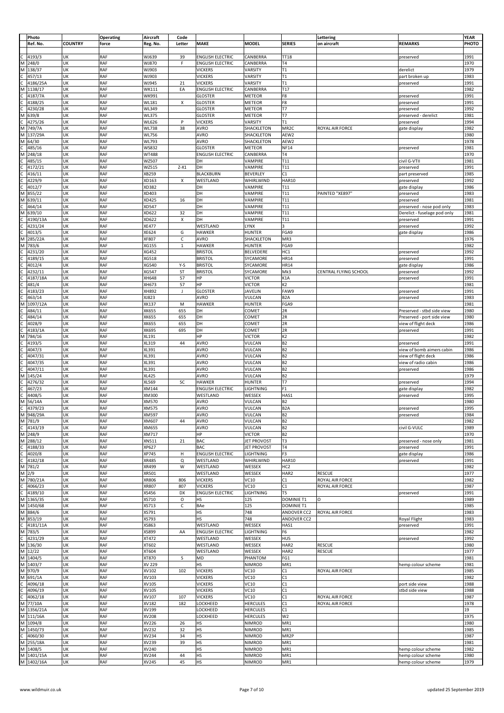|              | Photo      |                | <b>Operating</b> | Aircraft     | Code        |                         |                    |                    | Lettering              |                              | YEAR  |
|--------------|------------|----------------|------------------|--------------|-------------|-------------------------|--------------------|--------------------|------------------------|------------------------------|-------|
|              | Ref. No.   | <b>COUNTRY</b> | force            | Reg. No.     | Letter      | <b>MAKE</b>             | <b>MODEL</b>       | <b>SERIES</b>      | on aircraft            | <b>REMARKS</b>               | PHOTO |
|              |            |                |                  |              |             |                         |                    |                    |                        |                              |       |
|              |            |                |                  |              |             |                         |                    |                    |                        |                              |       |
| с            | 4193/3     | UK             | RAF              | WJ639        | 39          | <b>ENGLISH ELECTRIC</b> | CANBERRA           | <b>TT18</b>        |                        | preserved                    | 1991  |
| M            | 248/0      | UK             | RAF              | WJ870        | F           | <b>ENGLISH ELECTRIC</b> | CANBERRA           | T <sub>4</sub>     |                        |                              | 1970  |
| M            | 138/37     | UK             | RAF              | WJ903        |             | <b>VICKERS</b>          | VARSITY            | T1                 |                        | derelict                     | 1979  |
| C            | 457/13     | UK             | RAF              | WJ903        |             | <b>VICKERS</b>          | VARSITY            | T1                 |                        | part broken up               | 1983  |
|              | 4186/25A   | UK             | RAF              | WJ945        | 21          | <b>VICKERS</b>          | VARSITY            | T1                 |                        | preserved                    | 1991  |
|              |            | UK             | RAF              |              |             |                         |                    |                    |                        |                              |       |
| М            | 1138/17    |                |                  | WK111        | EA          | <b>ENGLISH ELECTRIC</b> | CANBERRA           | T17                |                        |                              | 1982  |
| C            | 4187/7A    | UK             | <b>RAF</b>       | WK991        |             | <b>GLOSTER</b>          | METEOR             | F8                 |                        | preserved                    | 1991  |
| Ċ            | 4188/25    | UK             | RAF              | WL181        | X           | <b>GLOSTER</b>          | METEOR             | F8                 |                        | preserved                    | 1991  |
| С            | 4230/28    | UK             | RAF              | WL349        |             | <b>GLOSTER</b>          | METEOR             | T7                 |                        | preserved                    | 1992  |
| М            | 639/8      | UK             | RAF              | WL375        |             | <b>GLOSTER</b>          | METEOR             | T7                 |                        | preserved - derelict         | 1981  |
| C            | 4275/26    | UK             | RAF              | WL626        | P           | <b>VICKERS</b>          | VARSITY            | T1                 |                        | preserved                    | 1994  |
|              |            | UK             | RAF              |              |             |                         |                    |                    | <b>ROYAL AIR FORCE</b> |                              | 1982  |
| M            | 749/7A     |                |                  | WL738        | 38          | AVRO                    | SHACKLETON         | MR <sub>2C</sub>   |                        | gate display                 |       |
| M            | 137/29A    | UK             | RAF              | WL756        |             | <b>AVRO</b>             | SHACKLETON         | AEW2               |                        |                              | 1980  |
| М            | 64/30      | UK             | <b>RAF</b>       | WL793        |             | AVRO                    | SHACKLETON         | AEW2               |                        |                              | 1978  |
| C            | 485/16     | UK             | RAF              | WS832        |             | <b>GLOSTER</b>          | <b>METEOR</b>      | <b>NF14</b>        |                        | preserved                    | 1981  |
| M            | 248/18     | UK             | RAF              | WT488        |             | <b>ENGLISH ELECTRIC</b> | CANBERRA           | T <sub>4</sub>     |                        |                              | 1970  |
| C            | 485/15     | UK             | RAF              | WZ507        |             | DH                      | VAMPIRE            | T11                |                        | civil G-VTII                 | 1981  |
|              |            | UK             | RAF              |              |             |                         |                    |                    |                        |                              |       |
| C            | 4172/21    |                |                  | WZ515        | $Z-X1$      | DH                      | VAMPIRE            | T11                |                        | preserved                    | 1991  |
| C            | 416/11     | UK             | RAF              | XB259        |             | <b>BLACKBURN</b>        | <b>BEVERLEY</b>    | C1                 |                        | part preserved               | 1985  |
| C            | 4229/9     | UK             | RAF              | XD163        | Х           | WESTLAND                | WHIRLWIND          | HAR10              |                        | preserved                    | 1992  |
|              | 4012/7     | UK             | RAF              | XD382        |             | DH                      | VAMPIRE            | T11                |                        | gate display                 | 1986  |
| M            | 855/22     | UK             | <b>RAF</b>       | XD403        |             | DH                      | VAMPIRE            | T11                | PAINTED "XE897         | preserved                    | 1983  |
| M            | 639/11     | UK             | RAF              | XD425        | 16          | DH                      | VAMPIRE            | T11                |                        | preserved                    | 1981  |
|              |            |                |                  |              |             |                         |                    |                    |                        |                              |       |
| C            | 464/14     | UK             | RAF              | XD547        |             | DH                      | VAMPIRE            | T11                |                        | preserved - nose pod only    | 1983  |
| М            | 639/10     | UK             | RAF              | XD622        | 32          | DH                      | VAMPIRE            | T11                |                        | Derelict - fuselage pod only | 1981  |
| C            | 4190/13A   | UK             | RAF              | XD622        | X           | DH                      | VAMPIRE            | T11                |                        | preserved                    | 1991  |
| С            | 4231/24    | UK             | RAF              | <b>XE477</b> |             | WESTLAND                | LYNX               | R                  |                        | preserved                    | 1992  |
| C            | 4013/5     | UK             | RAF              | XE624        | G           | <b>HAWKER</b>           | HUNTER             | FGA9               |                        | gate display                 | 1986  |
| М            | 285/22A    | UK             | RAF              | XF807        | c           | AVRO                    | SHACKLETON         | MR3                |                        |                              | 1976  |
|              |            |                |                  |              |             |                         |                    |                    |                        |                              |       |
| M            | 783/6      | UK             | RAF              | XG155        | $\mathbf 1$ | <b>HAWKER</b>           | <b>HUNTER</b>      | FGA9               |                        |                              | 1982  |
| C            | 4231/20    | UK             | <b>RAF</b>       | XG452        |             | <b>BRISTOL</b>          | BELVEDERE          | HC1                |                        | preserved                    | 1992  |
|              | 4189/15    | UK             | RAF              | XG518        |             | <b>BRISTOL</b>          | SYCAMORE           | <b>HR14</b>        |                        | preserved                    | 1991  |
|              | 4012/4     | UK             | RAF              | XG540        | $Y-S$       | <b>BRISTOL</b>          | SYCAMORE           | <b>HR14</b>        |                        | gate display                 | 1986  |
|              | 4232/11    | UK             | RAF              | XG547        | ST          | <b>BRISTOL</b>          | SYCAMORE           | Mk3                | CENTRAL FLYING SCHOOL  | preserved                    | 1992  |
|              | 4187/18A   | UK             | RAF              | XH648        | 57          | HP                      | <b>VICTOR</b>      | K1A                |                        | preserved                    | 1991  |
|              |            | UK             | RAF              |              |             | HP                      |                    |                    |                        |                              |       |
|              | 481/4      |                |                  | XH673        | 57          |                         | <b>VICTOR</b>      | K <sub>2</sub>     |                        |                              | 1981  |
|              | 4183/23    | UK             | RAF              | XH892        | J           | <b>GLOSTER</b>          | <b>JAVELIN</b>     | FAW9               |                        | preserved                    | 1991  |
|              | 463/14     | UK             | RAF              | XJ823        |             | AVRO                    | VULCAN             | B <sub>2</sub> A   |                        | preserved                    | 1983  |
| M            | 1097/12A   | UK             | RAF              | XK137        | M           | <b>HAWKER</b>           | HUNTER             | FGA9               |                        |                              | 1981  |
|              | 484/11     | UK             | RAF              | XK655        | 655         | DH                      | COMET              | 2R                 |                        | Preserved - stbd side view   | 1980  |
|              | 484/14     | UK             | RAF              | XK655        | 655         | DH                      | COMET              | 2R                 |                        | Preserved - port side view   | 1980  |
|              |            |                |                  |              |             |                         |                    |                    |                        |                              |       |
|              | 4028/9     | UK             | RAF              | XK655        | 655         | DH                      | COMET              | 2R                 |                        | view of flight deck          | 1986  |
|              | 4183/1A    | UK             | RAF              | XK695        | 695         | DH                      | COMET              | 2R                 |                        | preserved                    | 1991  |
| М            | 784/16     | UK             | RAF              | XL191        |             | HP                      | <b>VICTOR</b>      | K <sub>2</sub>     |                        |                              | 1982  |
|              | 4193/5     | UK             | RAF              | XL319        | 44          | <b>AVRO</b>             | VULCAN             | B <sub>2</sub>     |                        | preserved                    | 1991  |
|              | 4047/3     | UK             | RAF              | XL391        |             | AVRO                    | VULCAN             | B <sub>2</sub>     |                        | view of bomb aimers cabin    | 1986  |
|              | 4047/31    | UK             | RAF              | XL391        |             | <b>AVRO</b>             | VULCAN             | B <sub>2</sub>     |                        | view of flight deck          | 1986  |
| Ċ            |            | UK             | RAF              | XL391        |             | AVRO                    | VULCAN             |                    |                        |                              |       |
|              | 4047/35    |                |                  |              |             |                         |                    | B <sub>2</sub>     |                        | view of radio cabin          | 1986  |
| Ċ            | 4047/11    | UK             | RAF              | XL391        |             | <b>AVRO</b>             | VULCAN             | B <sub>2</sub>     |                        | preserved                    | 1986  |
| М            | 145/24     | UK             | RAF              | <b>XL425</b> |             | <b>AVRO</b>             | VULCAN             | B <sub>2</sub>     |                        |                              | 1979  |
| C            | 4276/32    | UK             | RAF              | XL569        | SC          | <b>HAWKER</b>           | <b>HUNTER</b>      | T <sub>7</sub>     |                        | preserved                    | 1994  |
| С            | 467/23     | UK             | RAF              | XM144        |             | <b>ENGLISH ELECTRIC</b> | LIGHTNING          | F <sub>1</sub>     |                        | gate display                 | 1982  |
| C            | 4408/5     | UK             | RAF              | XM300        |             | WESTLAND                | WESSEX             | HAS1               |                        | preserved                    | 1995  |
|              |            | UK             | RAF              |              |             |                         |                    |                    |                        |                              |       |
| M            | 56/14A     |                |                  | XM570        |             | <b>AVRO</b>             | VULCAN             | <b>B2</b>          |                        |                              | 1980  |
| $\mathsf{C}$ | 4379/23    | UK             | RAF              | XM575        |             | <b>AVRO</b>             | VULCAN             | B <sub>2</sub> A   |                        | preserved                    | 1995  |
|              | M 948/29A  | UK             | RAF              | XM597        |             | <b>AVRO</b>             | VULCAN             | <b>B2</b>          |                        | preserved                    | 1984  |
|              | M 781/9    | UK             | RAF              | XM607        | 44          | <b>AVRO</b>             | VULCAN             | B <sub>2</sub>     |                        |                              | 1982  |
|              | C 4143/19  | UK             | RAF              | XM655        |             | <b>AVRO</b>             | VULCAN             | <b>B2</b>          |                        | civil G-VULC                 | 1989  |
|              | M 248/9    | UK             | RAF              | XM717        |             | HP                      | <b>VICTOR</b>      | B <sub>2</sub>     |                        |                              | 1970  |
|              | M 288/12   | UK             | RAF              | XN511        | 21          | BAC                     | <b>JET PROVOST</b> | T3                 |                        | preserved - nose only        |       |
|              |            |                |                  |              |             |                         |                    |                    |                        |                              | 1981  |
| $\mathsf{C}$ | 4188/33    | UK             | RAF              | XP627        |             | BAC                     | <b>JET PROVOST</b> | T <sub>4</sub>     |                        | preserved                    | 1991  |
| $\mathsf{C}$ | 4020/8     | UK             | RAF              | XP745        | н           | <b>ENGLISH ELECTRIC</b> | LIGHTNING          | F3                 |                        | gate display                 | 1986  |
| c            | 4182/18    | UK             | RAF              | XR485        | Q           | WESTLAND                | WHIRLWIND          | <b>HAR10</b>       |                        | preserved                    | 1991  |
|              | M 781/2    | UK             | RAF              | XR499        | W           | WESTLAND                | WESSEX             | HC <sub>2</sub>    |                        |                              | 1982  |
|              | $M$ 2/9    | UK             | RAF              | XR501        |             | WESTLAND                | WESSEX             | HAR2               | <b>RESCUE</b>          |                              | 1977  |
|              | M 780/21A  | UK             | RAF              | XR806        | 806         | <b>VICKERS</b>          | VC10               | C1                 | ROYAL AIR FORCE        |                              | 1982  |
| c            | 4066/23    | UK             | RAF              | XR807        | 807         | <b>VICKERS</b>          | VC10               | C1                 | ROYAL AIR FORCE        |                              | 1987  |
| $\mathsf{C}$ |            |                |                  |              |             |                         | LIGHTNING          | T5                 |                        |                              |       |
|              | 4189/10    | UK             | RAF              | XS456        | DX          | <b>ENGLISH ELECTRIC</b> |                    |                    |                        | preserved                    | 1991  |
|              | M 1365/35  | UK             | RAF              | XS710        | $\circ$     | HS                      | 125                | <b>DOMINIE T1</b>  | O                      |                              | 1989  |
|              | M 1450/68  | UK             | RAF              | XS713        | c           | BAe                     | 125                | <b>DOMINIE T1</b>  |                        |                              | 1985  |
|              | M 884/6    | UK             | RAF              | XS791        |             | HS                      | 748                | ANDOVER CC2        | ROYAL AIR FORCE        |                              | 1983  |
|              | M 853/19   | UK             | RAF              | XS793        |             | HS                      | 748                | <b>ANDOVER CC2</b> |                        | Royal Flight                 | 1983  |
| $\mathsf{C}$ | 4181/11A   | UK             | RAF              | XS863        |             | WESTLAND                | WESSEX             | HAS1               |                        | preserved                    | 1991  |
|              | M 783/5    | UK             | RAF              | XS899        | AA          | <b>ENGLISH ELECTRIC</b> | LIGHTNING          | F6                 |                        |                              | 1982  |
|              |            |                |                  |              |             |                         |                    |                    |                        |                              |       |
| $\mathsf{C}$ | 4231/29    | UK             | RAF              | XT472        |             | WESTLAND                | WESSEX             | HU5                |                        | preserved                    | 1992  |
|              | M 136/30   | UK             | RAF              | XT602        |             | WESTLAND                | WESSEX             | HAR2               | <b>RESCUE</b>          |                              | 1980  |
|              | M 12/22    | UK             | RAF              | XT604        |             | WESTLAND                | WESSEX             | HAR2               | <b>RESCUE</b>          |                              | 1977  |
|              | M 1404/5   | UK             | RAF              | XT870        | S           | MD                      | PHANTOM            | FG1                |                        |                              | 1981  |
|              | M 1403/7   | UK             | RAF              | XV 229       |             | HS                      | NIMROD             | MR1                |                        | hemp colour scheme           | 1981  |
|              | M 970/9    | UK             | RAF              | XV102        | 102         | <b>VICKERS</b>          | VC10               | C1                 | ROYAL AIR FORCE        |                              | 1985  |
|              |            |                |                  |              |             |                         |                    |                    |                        |                              |       |
| M            | 691/1A     | UK             | RAF              | XV103        |             | <b>VICKERS</b>          | VC10               | C1                 |                        |                              | 1982  |
| C            | 4096/18    | UK             | RAF              | XV105        |             | <b>VICKERS</b>          | VC10               | C1                 |                        | port side view               | 1988  |
| $\mathsf{C}$ | 4096/19    | UK             | RAF              | XV105        |             | <b>VICKERS</b>          | VC10               | C1                 |                        | stbd side view               | 1988  |
| c            | 4062/18    | UK             | RAF              | XV107        | 107         | <b>VICKERS</b>          | VC10               | C1                 | ROYAL AIR FORCE        |                              | 1987  |
| M            | 77/10A     | UK             | RAF              | XV182        | 182         | LOCKHEED                | <b>HERCULES</b>    | C1                 | ROYAL AIR FORCE        |                              | 1978  |
|              | M 1356/21A | UK             | RAF              | XV199        |             | LOCKHEED                | <b>HERCULES</b>    | C1                 |                        |                              | 19    |
|              |            |                |                  |              |             |                         |                    |                    |                        |                              |       |
|              | M 111/16A  | UK             | RAF              | XV208        |             | LOCKHEED                | <b>HERCULES</b>    | W <sub>2</sub>     |                        |                              | 1975  |
|              | M 1094/8   | UK             | RAF              | XV226        | 26          | НS                      | NIMROD             | MR1                |                        |                              | 1980  |
|              | M 1450/73  | UK             | RAF              | XV232        | 32          | HS                      | NIMROD             | MR1                |                        |                              | 1985  |
| c            | 4060/30    | UK             | RAF              | XV234        | 34          | HS                      | NIMROD             | MR <sub>2</sub> P  |                        |                              | 1987  |
|              | M 255/18A  | UK             | RAF              | XV239        | 39          | HS                      | NIMROD             | MR1                |                        |                              | 1981  |
|              | M 1408/5   | UK             | RAF              | XV240        |             | HS                      | <b>NIMROD</b>      | MR1                |                        | hemp colour scheme           | 1982  |
|              |            |                |                  |              |             |                         |                    |                    |                        |                              |       |
|              | M 1401/15A | UK             | RAF              | XV244        | 44          | HS                      | NIMROD             | MR1                |                        | hemp colour scheme           | 1980  |
|              | M 1402/16A | UK             | RAF              | XV245        | 45          | $\mathsf{HS}$           | NIMROD             | MR1                |                        | hemp colour scheme           | 1979  |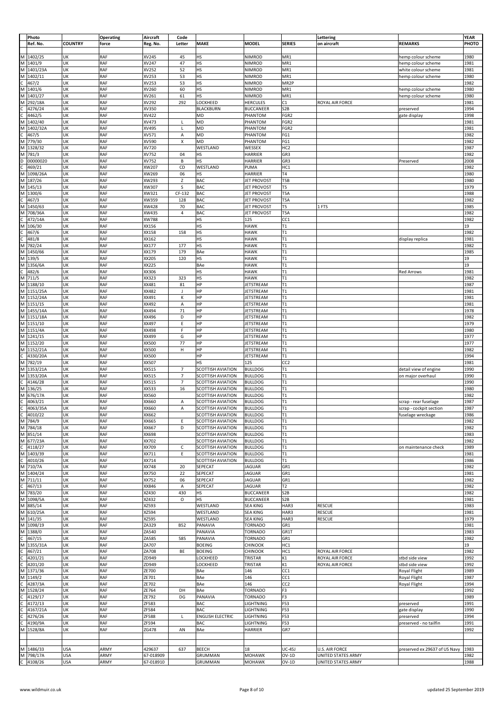|              | Photo       |                | <b>Operating</b> | Aircraft     | Code           |                          |                    |                   | Lettering             |                               | YEAR  |
|--------------|-------------|----------------|------------------|--------------|----------------|--------------------------|--------------------|-------------------|-----------------------|-------------------------------|-------|
|              | Ref. No.    | <b>COUNTRY</b> | force            | Reg. No.     | Letter         | <b>MAKE</b>              | <b>MODEL</b>       | <b>SERIES</b>     | on aircraft           | <b>REMARKS</b>                | PHOTO |
|              |             |                |                  |              |                |                          |                    |                   |                       |                               |       |
|              |             |                |                  |              |                |                          |                    |                   |                       |                               |       |
|              | M 1402/25   | UK             | RAF              | XV245        | 45             | HS                       | NIMROD             | MR1               |                       | hemp colour scheme            | 1980  |
|              | M 1401/9    | UK             | RAF              | XV247        | 47             | HS                       | NIMROD             | MR1               |                       | hemp colour scheme            | 1981  |
| M            | 1401/23A    | UK             | RAF              | XV252        | 52             | HS                       | NIMROD             | MR1               |                       | white colour scheme           | 1981  |
| M            | 1402/11     | UK             | <b>RAF</b>       | XV253        | 53             | HS                       | NIMROD             | MR1               |                       | hemp colour scheme            | 1980  |
| c            | 467/2       | UK             | RAF              | XV253        | 53             | HS                       | NIMROD             | MR <sub>2</sub> P |                       |                               | 1982  |
| M            | 1401/6      | UK             | RAF              | XV260        | 60             | HS                       | NIMROD             | MR1               |                       |                               | 1980  |
|              |             |                |                  |              |                |                          |                    |                   |                       | hemp colour scheme            |       |
| M            | 1401/27     | UK             | RAF              | XV261        | 61             | HS                       | NIMROD             | MR1               |                       | hemp colour scheme            | 1980  |
| M            | 292/18A     | UK             | RAF              | XV292        | 292            | LOCKHEED                 | <b>HERCULES</b>    | C1                | ROYAL AIR FORCE       |                               | 1981  |
| c            | 4276/24     | UK             | RAF              | XV350        |                | <b>BLACKBURN</b>         | <b>BUCCANEER</b>   | S <sub>2</sub> B  |                       | preserved                     | 1994  |
| C            | 4462/5      | UK             | RAF              | XV422        |                | MD                       | PHANTOM            | FGR2              |                       | gate display                  | 1998  |
|              |             |                |                  |              |                |                          |                    |                   |                       |                               |       |
| M            | 1402/40     | UK             | RAF              | XV473        | L              | MD                       | PHANTOM            | FGR <sub>2</sub>  |                       |                               | 1981  |
| M            | 1402/32A    | UK             | RAF              | XV495        | L              | MD                       | PHANTOM            | FGR <sub>2</sub>  |                       |                               | 1981  |
| c            | 467/5       | UK             | <b>RAF</b>       | XV571        | Α              | MD                       | PHANTOM            | FG1               |                       |                               | 1982  |
| M            | 779/30      | UK             | RAF              | XV590        | X              | MD                       | PHANTOM            | FG1               |                       |                               | 1982  |
| M            | 1328/32     | UK             | RAF              | XV720        |                | WESTLAND                 | WESSEX             | HC <sub>2</sub>   |                       |                               | 1987  |
|              |             |                |                  |              |                |                          |                    |                   |                       |                               |       |
| M            | 781/3       | UK             | RAF              | XV752        | 04             | НS                       | HARRIER            | GR3               |                       |                               | 1982  |
| D            | 00000020    | UK             | RAF              | XV752        | В              | HS                       | <b>HARRIER</b>     | GR3               |                       | Preserved                     | 2008  |
| C            | 469/21      | UK             | RAF              | XW207        | CD             | WESTLAND                 | PUMA               | HC1               |                       |                               | 1982  |
| M            | 1098/26A    | UK             | RAF              | XW269        | 06             | НS                       | HARRIER            | T <sub>4</sub>    |                       |                               | 1980  |
| M            | 187/26      | UK             | <b>RAF</b>       | XW293        | z              | BAC                      | <b>JET PROVOST</b> | T5B               |                       |                               | 1980  |
|              |             |                |                  |              |                |                          |                    |                   |                       |                               |       |
| M            | 145/13      | UK             | <b>RAF</b>       | XW307        | S              | BAC                      | <b>JET PROVOST</b> | T5                |                       |                               | 1979  |
| M            | 1300/6      | UK             | RAF              | XW321        | CF-132         | BAC                      | <b>JET PROVOST</b> | T5A               |                       |                               | 1988  |
| C            | 467/3       | UK             | RAF              | XW359        | 128            | BAC                      | <b>JET PROVOST</b> | T <sub>5</sub> A  |                       |                               | 1982  |
| M            | 1450/63     | UK             | RAF              | XW428        | 70             | BAC                      | <b>JET PROVOST</b> | T5                | 1 FTS                 |                               | 1985  |
| M            | 708/36A     | UK             | RAF              | XW435        | $\sqrt{4}$     | BAC                      | <b>JET PROVOST</b> | T5A               |                       |                               | 1982  |
|              |             |                |                  |              |                |                          |                    |                   |                       |                               |       |
| C            | 472/14A     | UK             | RAF              | XW788        |                | HS                       | 125                | CC1               |                       |                               | 1982  |
| M            | 106/30      | UK             | RAF              | XX156        |                | HS                       | <b>HAWK</b>        | T1                |                       |                               | 19    |
| C            | 467/6       | UK             | RAF              | XX158        | 158            | HS                       | <b>HAWK</b>        | T1                |                       |                               | 1982  |
| c            | 481/8       | UK             | RAF              | XX162        |                | HS                       | <b>HAWK</b>        | T1                |                       | display replica               | 1981  |
|              |             |                |                  |              |                |                          |                    |                   |                       |                               |       |
| M            | 782/24      | UK             | RAF              | XX177        | 177            | HS                       | <b>HAWK</b>        | T1                |                       |                               | 1982  |
| M            | 1450/66     | UK             | RAF              | XX179        | 179            | BAe                      | <b>HAWK</b>        | T1                |                       |                               | 1985  |
| M            | 139/5       | UK             | RAF              | XX205        | 120            | HS                       | <b>HAWK</b>        | T1                |                       |                               | 19    |
| M            | 1356/6A     | UK             | RAF              | XX225        |                | BAe                      | <b>HAWK</b>        | T1                |                       |                               | 19    |
| c            | 482/6       | UK             | <b>RAF</b>       | XX306        |                | HS                       | <b>HAWK</b>        | T1                |                       | <b>Red Arrows</b>             | 1981  |
|              |             |                |                  |              |                |                          |                    |                   |                       |                               |       |
| M            | 711/5       | UK             | RAF              | XX323        | 323            | HS                       | <b>HAWK</b>        | T1                |                       |                               | 1982  |
| M            | 1188/10     | UK             | RAF              | XX481        | 81             | HP                       | JETSTREAM          | T1                |                       |                               | 1987  |
| M            | 1151/25A    | UK             | RAF              | XX482        | J              | HP                       | JETSTREAM          | T1                |                       |                               | 1981  |
|              | M 1152/24A  | UK             | RAF              | XX491        | К              | HP                       | JETSTREAM          | T1                |                       |                               | 1981  |
|              | M 1151/15   | UK             | RAF              | XX492        | Α              | HP                       | JETSTREAM          | T1                |                       |                               | 1981  |
|              |             |                |                  |              |                |                          |                    |                   |                       |                               |       |
| M            | 1455/14A    | UK             | RAF              | XX494        | 71             | HP                       | JETSTREAM          | T1                |                       |                               | 1978  |
|              | M 1151/18A  | UK             | RAF              | XX496        | D              | HP                       | JETSTREAM          | T1                |                       |                               | 1982  |
| M            | 1151/10     | UK             | RAF              | XX497        | E              | HP                       | JETSTREAM          | T1                |                       |                               | 1979  |
|              | M 1151/4A   | UK             | RAF              | XX498        | F              | ΗP                       | JETSTREAM          | T1                |                       |                               | 1980  |
|              |             |                |                  |              |                |                          |                    |                   |                       |                               |       |
| M            | 1241/15     | UK             | RAF              | XX499        | G              | HP                       | <b>JETSTREAM</b>   | T1                |                       |                               | 1977  |
|              | M 1152/20   | UK             | <b>RAF</b>       | <b>XX500</b> | 77             | HP                       | JETSTREAM          | T1                |                       |                               | 1977  |
| M            | 1152/21A    | UK             | <b>RAF</b>       | <b>XX500</b> | $\mathsf H$    | HP                       | JETSTREAM          | T1                |                       |                               | 1982  |
| C            | 4330/20A    | UK             | RAF              | XX500        |                | HP                       | JETSTREAM          | T1                |                       |                               | 1994  |
| M            | 782/19      | UK             | RAF              | XX507        |                | HS                       | 125                | CC <sub>2</sub>   |                       |                               | 1981  |
|              |             |                |                  |              |                |                          |                    |                   |                       |                               |       |
| M            | 1353/21A    | UK             | RAF              | XX515        | $\overline{7}$ | <b>SCOTTISH AVIATION</b> | <b>BULLDOG</b>     | T1                |                       | detail view of engine         | 1990  |
| M            | 1353/20A    | UK             | RAF              | XX515        | $\overline{7}$ | <b>SCOTTISH AVIATION</b> | <b>BULLDOG</b>     | T1                |                       | on major overhaul             | 1990  |
| C            | 4146/28     | UK             | RAF              | XX515        | $\overline{7}$ | <b>SCOTTISH AVIATION</b> | <b>BULLDOG</b>     | T1                |                       |                               | 1990  |
| M            | 136/25      | UK             | <b>RAF</b>       | XX533        | 16             | <b>SCOTTISH AVIATION</b> | <b>BULLDOG</b>     | T1                |                       |                               | 1980  |
| М            | 676/17A     | UK             | RAF              | XX560        |                | <b>SCOTTISH AVIATION</b> | <b>BULLDOG</b>     | T1                |                       |                               | 1982  |
|              |             |                |                  |              |                |                          |                    |                   |                       |                               |       |
| c            | 4063/21     | UK             | <b>RAF</b>       | XX660        | Α              | <b>SCOTTISH AVIATION</b> | <b>BULLDOG</b>     | T1                |                       | scrap - rear fuselage         | 1987  |
| $\mathsf{C}$ | 4063/35A    | UK             | RAF              | XX660        | А              | SCOTTISH AVIATION        | <b>BULLDOG</b>     | T1                |                       | scrap - cockpit section       | 1987  |
|              | C 4010/22   | UK             | RAF              | XX662        |                | <b>SCOTTISH AVIATION</b> | <b>BULLDOG</b>     | T1                |                       | fuselage wreckage             | 1986  |
|              | M 784/9     | UK             | RAF              | XX665        | Ε              | <b>SCOTTISH AVIATION</b> | <b>BULLDOG</b>     | T1                |                       |                               | 1982  |
|              | M 784/18    |                | RAF              |              |                |                          |                    |                   |                       |                               |       |
|              |             | UK             |                  | XX667        | D              | <b>SCOTTISH AVIATION</b> | <b>BULLDOG</b>     | T1                |                       |                               | 1982  |
|              | M 851/14    | UK             | RAF              | XX698        |                | <b>SCOTTISH AVIATION</b> | <b>BULLDOG</b>     | T1                |                       |                               | 1983  |
|              | M 677/23A   | UK             | RAF              | XX702        |                | <b>SCOTTISH AVIATION</b> | <b>BULLDOG</b>     | T1                |                       |                               | 1982  |
| $\mathsf{C}$ | 4118/27     | UK             | RAF              | XX709        | C              | <b>SCOTTISH AVIATION</b> | <b>BULLDOG</b>     | T1                |                       | on maintenance check          | 1989  |
|              | M 1403/39   | UK             | RAF              | XX711        | Ε              | <b>SCOTTISH AVIATION</b> | <b>BULLDOG</b>     | T1                |                       |                               | 1981  |
| c            | 4010/26     | UK             | RAF              | XX714        |                | <b>SCOTTISH AVIATION</b> | <b>BULLDOG</b>     | T1                |                       |                               | 1986  |
|              |             |                |                  |              |                |                          |                    |                   |                       |                               |       |
|              | M 710/7A    | UK             | RAF              | XX748        | 20             | SEPECAT                  | <b>JAGUAR</b>      | GR1               |                       |                               | 1982  |
|              | M 1404/24   | UK             | RAF              | XX750        | 22             | SEPECAT                  | <b>JAGUAR</b>      | GR1               |                       |                               | 1981  |
|              | M 711/11    | UK             | RAF              | XX752        | 06             | SEPECAT                  | <b>JAGUAR</b>      | GR1               |                       |                               | 1982  |
| c            | 467/13      | UK             | RAF              | XX846        | А              | SEPECAT                  | <b>JAGUAR</b>      | T <sub>2</sub>    |                       |                               | 1982  |
|              | M 783/20    | UK             | RAF              | XZ430        | 430            | HS                       | <b>BUCCANEER</b>   | S <sub>2</sub> B  |                       |                               | 1982  |
|              | M 1098/5A   | UK             | RAF              | XZ432        | $\circ$        | <b>HS</b>                | <b>BUCCANEER</b>   | S <sub>2</sub> B  |                       |                               | 1981  |
|              |             |                |                  |              |                |                          |                    |                   |                       |                               |       |
|              | M 885/14    | UK             | RAF              | XZ593        |                | WESTLAND                 | <b>SEA KING</b>    | HAR3              | <b>RESCUE</b>         |                               | 1983  |
|              | M 610/25A   | UK             | RAF              | xz594        |                | WESTLAND                 | <b>SEA KING</b>    | HAR3              | RESCUE                |                               | 1981  |
|              | M 141/35    | UK             | RAF              | XZ595        |                | WESTLAND                 | <b>SEA KING</b>    | HAR3              | <b>RESCUE</b>         |                               | 1979  |
|              | M 1098/19   | UK             | RAF              | ZA329        | <b>B52</b>     | PANAVIA                  | <b>TORNADO</b>     | GR1               |                       |                               | 1981  |
|              | M 1388/0    | UK             | RAF              | ZA540        |                | PANAVIA                  | <b>TORNADO</b>     | GR1T              |                       |                               | 1983  |
|              |             |                |                  |              |                |                          |                    |                   |                       |                               |       |
| $\mathsf{c}$ | 467/15      | UK             | RAF              | ZA585        | 585            | PANAVIA                  | <b>TORNADO</b>     | GR1               |                       |                               | 1982  |
| M            | 1355/31A    | UK             | RAF              | ZA707        |                | <b>BOEING</b>            | CHINOOK            | HC1               |                       |                               | 19    |
| c            | 467/21      | UK             | RAF              | ZA708        | BE             | <b>BOEING</b>            | CHINOOK            | HC1               | ROYAL AIR FORCE       |                               | 1982  |
| c            | 4201/21     | UK             | RAF              | ZD949        |                | LOCKHEED                 | TRISTAR            | K1                | ROYAL AIR FORCE       | stbd side view                | 1992  |
| $\mathsf{C}$ |             |                | RAF              |              |                |                          |                    |                   |                       |                               |       |
|              | 4201/20     | UK             |                  | ZD949        |                | LOCKHEED                 | TRISTAR            | K1                | ROYAL AIR FORCE       | stbd side view                | 1992  |
|              | M 1371/36   | UK             | RAF              | ZE700        |                | BAe                      | 146                | CC1               |                       | Royal Flight                  | 1989  |
|              | M 1149/2    | UK             | RAF              | ZE701        |                | BAe                      | 146                | CC1               |                       | Royal Flight                  | 1987  |
| $\mathsf{C}$ | 4287/3A     | UK             | RAF              | ZE702        |                | BAe                      | 146                | CC <sub>2</sub>   |                       | Royal Flight                  | 1994  |
|              | M 1528/24   | UK             | RAF              | ZE764        | DH             | BAe                      | <b>TORNADO</b>     | F <sub>3</sub>    |                       |                               | 1992  |
|              |             |                |                  |              |                |                          |                    |                   |                       |                               |       |
| c            | 4129/17     | UK             | RAF              | ZE792        | DG             | PANAVIA                  | TORNADO            | F3                |                       |                               | 1989  |
| C            | 4172/13     | UK             | RAF              | ZF583        |                | BAC                      | LIGHTNING          | F53               |                       | preserved                     | 1991  |
| C            | 4167/21A    | UK             | RAF              | ZF584        |                | BAC                      | LIGHTNING          | F53               |                       | gate display                  | 1990  |
| C            | 4276/26     | UK             | RAF              | ZF588        | L              | <b>ENGLISH ELECTRIC</b>  | LIGHTNING          | F53               |                       | preserved                     | 1994  |
| c            | 4190/9A     | UK             | RAF              | ZF594        |                | BAC                      | LIGHTNING          | F53               |                       | preserved - no tailfin        | 1991  |
|              | M 1528/8A   | UK             | RAF              | ZG478        | AN             | BAe                      | HARRIER            | GR7               |                       |                               | 1992  |
|              |             |                |                  |              |                |                          |                    |                   |                       |                               |       |
|              |             |                |                  |              |                |                          |                    |                   |                       |                               |       |
|              |             |                |                  |              |                |                          |                    |                   |                       |                               |       |
|              | M 1486/33   | <b>USA</b>     | ARMY             | 429637       | 637            | BEECH                    | 18                 | <b>UC-45J</b>     | <b>U.S. AIR FORCE</b> | preserved ex 29637 of US Navy | 1983  |
|              | M 798/17A   | <b>USA</b>     | ARMY             | 67-018909    |                | GRUMMAN                  | <b>MOHAWK</b>      | $OV-1D$           | UNITED STATES ARMY    |                               | 1982  |
|              | $C$ 4108/26 | <b>USA</b>     | ARMY             | 67-018910    |                | GRUMMAN                  |                    |                   | UNITED STATES ARMY    |                               | 1988  |
|              |             |                |                  |              |                |                          | MOHAWK             | $OV-1D$           |                       |                               |       |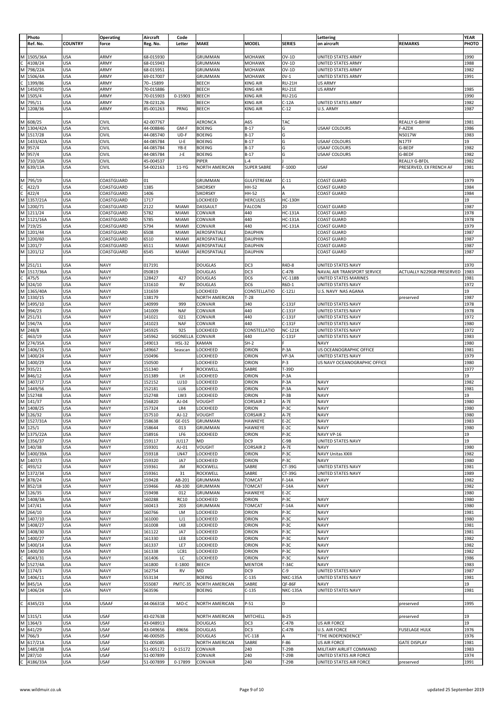|              | Photo      |                |                           | Aircraft  | Code          |                       |                    |                 | Lettering                    |                           | YEAR  |
|--------------|------------|----------------|---------------------------|-----------|---------------|-----------------------|--------------------|-----------------|------------------------------|---------------------------|-------|
|              | Ref. No.   | <b>COUNTRY</b> | <b>Operating</b><br>force |           | Letter        | MAKE                  | <b>MODEL</b>       | <b>SERIES</b>   | on aircraft                  | <b>REMARKS</b>            | РНОТО |
|              |            |                |                           | Reg. No.  |               |                       |                    |                 |                              |                           |       |
|              |            |                |                           |           |               |                       |                    |                 |                              |                           |       |
|              | M 1505/36A | <b>USA</b>     | ARMY                      | 68-015930 |               | <b>GRUMMAN</b>        | <b>MOHAWK</b>      | $OV-1D$         | <b>UNITED STATES ARMY</b>    |                           | 1990  |
| C            | 4108/24    | <b>USA</b>     | ARMY                      | 68-015943 |               | GRUMMAN               | MOHAWK             | $OV-1D$         | UNITED STATES ARMY           |                           | 1988  |
| M            | 798/22A    | <b>USA</b>     | ARMY                      | 68-015951 |               | GRUMMAN               | MOHAWK             | $OV-1D$         | UNITED STATES ARMY           |                           | 1982  |
| M            | 1506/4A    | <b>USA</b>     | ARMY                      | 69-017007 |               | GRUMMAN               | MOHAWK             | $0V-1$          | UNITED STATES ARMY           |                           | 1991  |
| C            | 1399/86    | <b>USA</b>     | ARMY                      | 70--15899 |               | BEECH                 | KING AIR           | RU-21H          | <b>US ARMY</b>               |                           |       |
| М            | 1450/91    | <b>USA</b>     | ARMY                      | 70-015886 |               | <b>BEECH</b>          | KING AIR           | <b>RU-21E</b>   | <b>US ARMY</b>               |                           | 1985  |
|              |            |                |                           |           |               |                       |                    |                 |                              |                           |       |
| M            | 1505/4     | <b>USA</b>     | ARMY                      | 70-015903 | 0-15903       | <b>BEECH</b>          | KING AIR           | <b>RU-21G</b>   |                              |                           | 1990  |
| M            | 795/11     | <b>USA</b>     | ARMY                      | 78-023126 |               | <b>BEECH</b>          | <b>KING AIR</b>    | $C-12A$         | UNITED STATES ARMY           |                           | 1982  |
|              | M 1208/36  | <b>USA</b>     | ARMY                      | 85-001263 | PRNG          | <b>BEECH</b>          | KING AIR           | $C-12$          | U.S. ARMY                    |                           | 1987  |
|              |            |                |                           |           |               |                       |                    |                 |                              |                           |       |
| M            | 608/25     | <b>USA</b>     | <b>CIVIL</b>              | 42-007767 |               | <b>AERONCA</b>        | A65                | TAC             |                              | <b>REALLY G-BIHW</b>      | 1981  |
|              | M 1304/42A | <b>USA</b>     | <b>CIVIL</b>              | 44-008846 | GM-F          | <b>BOEING</b>         | $B-17$             | G               | <b>USAAF COLOURS</b>         |                           | 1986  |
|              | M 1517/28  |                |                           |           |               |                       |                    |                 |                              | F-AZDX                    |       |
|              |            | <b>USA</b>     | CIVIL                     | 44-085740 | UD-F          | <b>BOEING</b>         | $B-17$             | G               |                              | N5017W                    | 1983  |
|              | M 1433/42A | <b>USA</b>     | <b>CIVIL</b>              | 44-085784 | U-E           | <b>BOEING</b>         | $B-17$             | G               | <b>USAAF COLOURS</b>         | <b>N17TF</b>              | 19    |
| M            | 957/4      | <b>USA</b>     | CIVIL                     | 44-085784 | YB-E          | <b>BOEING</b>         | $B-17$             | G               | <b>USAAF COLOURS</b>         | G-BEDF                    | 1982  |
| M            | 957/4      | <b>USA</b>     | CIVIL                     | 44-085784 | J-E           | <b>BOEING</b>         | $B-17$             | G               | <b>USAAF COLOURS</b>         | G-BEDF                    | 1982  |
| M            | 710/10A    | <b>USA</b>     | CIVIL                     | 45-004537 |               | PIPER                 | $L - 4$            |                 |                              | <b>REALLY G-BFDL</b>      | 1982  |
| M            | 639/13A    | <b>USA</b>     | CIVIL                     | 54-002163 | 11-YG         | <b>NORTH AMERICAN</b> | <b>SUPER SABRE</b> | F-100D          | <b>USAF</b>                  | PRESERVED, EX FRENCH AF   | 1981  |
|              |            |                |                           |           |               |                       |                    |                 |                              |                           |       |
|              |            |                |                           |           |               |                       |                    |                 |                              |                           |       |
| M            | 795/19     | <b>USA</b>     | COASTGUARD                | 01        |               | GRUMMAN               | <b>GULFSTREAM</b>  | $C-11$          | <b>COAST GUARD</b>           |                           | 1979  |
| c            | 422/3      | <b>USA</b>     | COASTGUARD                | 1385      |               | <b>SIKORSKY</b>       | <b>HH-52</b>       | А               | <b>COAST GUARD</b>           |                           | 1984  |
| $\mathsf{C}$ | 422/4      | <b>USA</b>     | COASTGUARD                | 1406      |               | <b>SIKORSKY</b>       | HH-52              |                 | <b>COAST GUARD</b>           |                           | 1984  |
| M            | 1357/21A   | <b>USA</b>     | COASTGUARD                | 1717      |               | LOCKHEED              | HERCULES           | <b>HC-130H</b>  |                              |                           | 19    |
| M            | 1200/71    | <b>USA</b>     | COASTGUARD                | 2122      | <b>MIAMI</b>  | DASSAULT              | <b>FALCON</b>      | 20              | <b>COAST GUARD</b>           |                           | 1987  |
|              | M 1211/24  | <b>USA</b>     | COASTGUARD                | 5782      | <b>MIAMI</b>  | CONVAIR               | 440                | HC-131A         | <b>COAST GUARD</b>           |                           | 1978  |
|              |            |                |                           |           |               |                       |                    |                 |                              |                           |       |
|              | M 1121/16A | <b>USA</b>     | COASTGUARD                | 5785      | <b>MIAMI</b>  | CONVAIR               | 440                | <b>HC-131A</b>  | <b>COAST GUARD</b>           |                           | 1978  |
| M            | 719/25     | <b>USA</b>     | COASTGUARD                | 5794      | <b>MIAM</b>   | CONVAIR               | 440                | <b>HC-131A</b>  | <b>COAST GUARD</b>           |                           | 1979  |
| M            | 1201/44    | <b>USA</b>     | COASTGUARD                | 6508      | <b>MIAM</b>   | AEROSPATIALE          | <b>DAUPHIN</b>     |                 | <b>COAST GUARD</b>           |                           | 1987  |
| M            | 1200/60    | <b>USA</b>     | COASTGUARD                | 6510      | <b>MIAMI</b>  | AEROSPATIALE          | <b>DAUPHIN</b>     |                 | <b>COAST GUARD</b>           |                           | 1987  |
|              | M 1201/7   | <b>USA</b>     | COASTGUARD                | 6511      | MIAMI         | AEROSPATIALE          | <b>DAUPHIN</b>     |                 | <b>COAST GUARD</b>           |                           | 1987  |
|              | M 1201/12  | <b>USA</b>     | COASTGUARD                | 6545      | MIAMI         | AEROSPATIALE          | <b>DAUPHIN</b>     |                 | <b>COAST GUARD</b>           |                           | 1987  |
|              |            |                |                           |           |               |                       |                    |                 |                              |                           |       |
|              |            |                |                           |           |               |                       |                    |                 |                              |                           |       |
| M            | 251/11     | <b>USA</b>     | <b>NAVY</b>               | 017191    |               | <b>DOUGLAS</b>        | DC3                | R4D-8           | UNITED STATES NAVY           |                           | 1970  |
| M            | 1517/36A   | <b>USA</b>     | <b>NAVY</b>               | 050819    |               | DOUGLAS               | DC3                | $C-47B$         | NAVAL AIR TRANSPORT SERVICE  | ACTUALLY N229GB PRESERVED | 1983  |
| C            | 475/5      | <b>USA</b>     | <b>NAVY</b>               | 128427    | 427           | <b>DOUGLAS</b>        | DC6                | <b>VC-118B</b>  | UNITED STATES MARINES        |                           | 1981  |
| M            | 324/10     | <b>USA</b>     | <b>NAVY</b>               | 131610    | <b>RV</b>     | <b>DOUGLAS</b>        | DC6                | R6D-1           | UNITED STATES NAVY           |                           | 1972  |
| M            | 1365/40A   | <b>USA</b>     | <b>NAVY</b>               | 131659    |               | LOCKHEED              | CONSTELLATIO       | $C-121J$        | U.S. NAVY NAS AGANA          |                           | 19    |
|              |            |                |                           |           |               |                       |                    |                 |                              |                           |       |
| M            | 1330/15    | <b>USA</b>     | <b>NAVY</b>               | 138179    |               | NORTH AMERICAN        | $T-28$             |                 |                              | preserved                 | 1987  |
| M            | 1495/10    | <b>USA</b>     | <b>NAVY</b>               | 140999    | 999           | CONVAIR               | 340                | $C-131F$        | UNITED STATES NAVY           |                           | 1978  |
| M            | 994/23     | <b>USA</b>     | <b>NAVY</b>               | 141009    | <b>NAF</b>    | CONVAIR               | 440                | C-131F          | UNITED STATES NAVY           |                           | 1978  |
| M            | 251/31     | <b>USA</b>     | <b>NAVY</b>               | 141021    | 021           | CONVAIR               | 440                | C-131F          | UNITED STATES NAVY           |                           | 1972  |
| M            | 194/7A     | <b>USA</b>     | <b>NAVY</b>               | 141023    | <b>NAF</b>    | CONVAIR               | 440                | $C-131F$        | UNITED STATES NAVY           |                           | 1980  |
| M            | 248/8      | <b>USA</b>     | <b>NAVY</b>               | 145925    | 925           | LOCKHEED              | CONSTELLATIO       | <b>NC-121K</b>  | UNITED STATES NAVY           |                           | 1972  |
|              |            |                |                           |           |               |                       |                    |                 |                              |                           |       |
| C            | 463/19     | <b>USA</b>     | <b>NAVY</b>               | 145962    | SIGONELLA     | CONVAIR               | 440                | $C-131F$        | UNITED STATES NAVY           |                           | 1983  |
| M            | 274/35A    | <b>USA</b>     | <b>NAVY</b>               | 149013    | <b>HSL-32</b> | KAMAN                 | $SH-2$             |                 | <b>NAVY</b>                  |                           | 1980  |
| M            | 1406/15    | <b>USA</b>     | <b>NAVY</b>               | 149667    | Seascan       | LOCKHEED              | ORION              | P-3A            | US OCEANOGRAPHIC OFFICE      |                           | 1981  |
| M            | 1400/24    | <b>USA</b>     | <b>NAVY</b>               | 150496    |               | LOCKHEED              | ORION              | $VP-3A$         | UNITED STATES NAVY           |                           | 1979  |
| M            | 1400/29    | <b>USA</b>     | <b>NAVY</b>               | 150500    |               | LOCKHEED              | ORION              | P-3             | US NAVY OCEANOGRAPHIC OFFICE |                           | 1980  |
|              | M 935/21   | <b>USA</b>     | <b>NAVY</b>               | 151340    | F             | ROCKWELL              | SABRE              | T-39D           |                              |                           | 1977  |
| M            | 846/12     | <b>USA</b>     | <b>NAVY</b>               | 151389    | LH            | LOCKHEED              | ORION              | P-3A            |                              |                           | 19    |
|              |            |                |                           |           |               |                       |                    |                 |                              |                           |       |
| M            | 1407/17    | <b>USA</b>     | <b>NAVY</b>               | 152152    | LU10          | LOCKHEED              | ORION              | P-3A            | <b>NAVY</b>                  |                           | 1982  |
| M            | 1449/56    | <b>USA</b>     | <b>NAVY</b>               | 152181    | LU6           | LOCKHEED              | ORION              | P-3A            | <b>NAVY</b>                  |                           | 1981  |
| M            | 152748     | <b>USA</b>     | <b>NAVY</b>               | 152748    | LW3           | LOCKHEED              | ORION              | P-3B            | <b>NAVY</b>                  |                           | 19    |
|              | M 141/37   | <b>USA</b>     | <b>NAVY</b>               | 156820    | AJ-04         | <b>VOUGHT</b>         | <b>CORSAIR 2</b>   | $A-7E$          | <b>NAVY</b>                  |                           | 1980  |
|              | M 1408/25  | <b>USA</b>     | <b>NAVY</b>               | 157324    | LR4           | LOCKHEED              | ORION              | P-3C            | <b>NAVY</b>                  |                           | 1980  |
|              |            | <b>USA</b>     | <b>NAVY</b>               | 157510    | AJ-12         | <b>VOUGHT</b>         | <b>CORSAIR 2</b>   | A-7E            | <b>NAVY</b>                  |                           | 1980  |
|              | M 126/32   |                |                           |           |               |                       |                    |                 |                              |                           |       |
|              | M 1527/31A | <b>USA</b>     | <b>NAVY</b>               | 158638    | GE-015        | <b>GRUMMAN</b>        | HAWKEYE            | $E-2C$          | <b>NAVY</b>                  |                           | 1983  |
|              | M 125/1    | <b>USA</b>     | <b>NAVY</b>               | 158644    | 013           | <b>GRUMMAN</b>        | HAWKEYE            | $E-2C$          | <b>NAVY</b>                  |                           | 1980  |
|              | M 1375/22A | <b>USA</b>     | <b>NAVY</b>               | 158916    | LF6           | LOCKHEED              | ORION              | P-3C            | NAVY VP-16                   |                           | 19    |
|              | M 1356/37  | <b>USA</b>     | <b>NAVY</b>               | 159117    | <b>JU117</b>  | MD                    | DC9                | C-9B            | UNITED STATES NAVY           |                           | 19    |
|              | M 140/38   | <b>USA</b>     | <b>NAVY</b>               | 159301    | AJ-01         | <b>VOUGHT</b>         | <b>CORSAIR 2</b>   | A-7E            | <b>NAVY</b>                  |                           | 1980  |
|              | M 1400/39A | <b>USA</b>     | <b>NAVY</b>               | 159318    | <b>LN47</b>   | LOCKHEED              | ORION              | P-3C            | NAVY Unitas XXIII            |                           | 1982  |
|              |            |                |                           |           |               |                       |                    |                 |                              |                           |       |
|              | M 1407/3   | <b>USA</b>     | <b>NAVY</b>               | 159320    | JA7           | LOCKHEED              | ORION              | P-3C            | <b>NAVY</b>                  |                           | 1980  |
|              | $C$ 493/12 | <b>USA</b>     | <b>NAVY</b>               | 159361    | JM            | ROCKWELL              | SABRE              | CT-39G          | UNITED STATES NAVY           |                           | 1981  |
|              | M 1372/34  | <b>USA</b>     | <b>NAVY</b>               | 159361    | 31            | ROCKWELL              | SABRE              | CT-39G          | UNITED STATES NAVY           |                           | 1989  |
|              | M 878/24   | <b>USA</b>     | <b>NAVY</b>               | 159428    | AB-201        | <b>GRUMMAN</b>        | <b>TOMCAT</b>      | $F-14A$         | <b>NAVY</b>                  |                           | 1982  |
|              | M 852/18   | <b>USA</b>     | <b>NAVY</b>               | 159466    | AB-100        | <b>GRUMMAN</b>        | <b>TOMCAT</b>      | $F-14A$         | <b>NAVY</b>                  |                           | 1982  |
|              | M 126/35   | <b>USA</b>     | <b>NAVY</b>               | 159498    | 012           | <b>GRUMMAN</b>        | HAWKEYE            | $E-2C$          |                              |                           | 1980  |
|              | M 1408/3A  | <b>USA</b>     | <b>NAVY</b>               | 160288    | <b>RC10</b>   | LOCKHEED              | ORION              | P-3C            | <b>NAVY</b>                  |                           | 1980  |
|              | M 147/41   | <b>USA</b>     | <b>NAVY</b>               | 160413    | 203           | <b>GRUMMAN</b>        | <b>TOMCAT</b>      | $F-14A$         | <b>NAVY</b>                  |                           | 1980  |
|              |            |                |                           |           |               |                       |                    |                 |                              |                           |       |
|              | M 264/10   | <b>USA</b>     | <b>NAVY</b>               | 160766    | LM            | LOCKHEED              | ORION              | P-3C            | <b>NAVY</b>                  |                           | 1981  |
| M            | 1407/10    | <b>USA</b>     | <b>NAVY</b>               | 161000    | LJ1           | LOCKHEED              | ORION              | P-3C            | <b>NAVY</b>                  |                           | 1980  |
|              | M 1408/27  | <b>USA</b>     | <b>NAVY</b>               | 161008    | LK8           | LOCKHEED              | ORION              | P-3C            | <b>NAVY</b>                  |                           | 1981  |
|              | M 1408/30  | <b>USA</b>     | <b>NAVY</b>               | 161122    | JA7           | LOCKHEED              | ORION              | P-3C            | <b>NAVY</b>                  |                           | 1981  |
|              | M 1400/27  | <b>USA</b>     | <b>NAVY</b>               | 161330    | LE8           | LOCKHEED              | ORION              | P-3C            | <b>NAVY</b>                  |                           | 1982  |
|              | M 1400/14  | <b>USA</b>     | <b>NAVY</b>               | 161337    | LE7           | LOCKHEED              | ORION              | P-3C            | <b>NAVY</b>                  |                           | 1982  |
|              | M 1400/30  |                |                           |           |               |                       |                    |                 |                              |                           | 1982  |
|              |            | <b>USA</b>     | <b>NAVY</b>               | 161338    | LC81          | LOCKHEED              | ORION              | P-3C            | <b>NAVY</b>                  |                           |       |
| $\mathsf{C}$ | 4043/31    | <b>USA</b>     | <b>NAVY</b>               | 161406    | LC            | LOCKHEED              | ORION              | P-3C            | <b>NAVY</b>                  |                           | 1986  |
|              | M 1527/4A  | <b>USA</b>     | <b>NAVY</b>               | 161800    | E-1800        | BEECH                 | <b>MENTOR</b>      | T-34C           | <b>NAVY</b>                  |                           | 1983  |
|              | M 1174/3   | <b>USA</b>     | <b>NAVY</b>               | 162754    | <b>RV</b>     | MD                    | DC9                | $C-9$           | UNITED STATES NAVY           |                           | 1987  |
|              | M 1406/11  | <b>USA</b>     | <b>NAVY</b>               | 553134    |               | <b>BOEING</b>         | $C-135$            | <b>NKC-135A</b> | UNITED STATES NAVY           |                           | 1981  |
|              | M 845/1A   | <b>USA</b>     | <b>NAVY</b>               | 555087    | PMTC-35       | <b>NORTH AMERICAN</b> | SABRE              | QF-86F          | <b>NAVY</b>                  |                           | 19    |
|              |            | <b>USA</b>     | <b>NAVY</b>               | 563596    |               |                       | $C-135$            | <b>NKC-135A</b> | UNITED STATES NAVY           |                           | 1981  |
|              | M 1406/24  |                |                           |           |               | <b>BOEING</b>         |                    |                 |                              |                           |       |
|              |            |                |                           |           |               |                       |                    |                 |                              |                           |       |
|              | C 4345/23  | <b>USA</b>     | <b>USAAF</b>              | 44-066318 | MO-C          | NORTH AMERICAN        | $P-51$             | D               |                              | preserved                 | 1995  |
|              |            |                |                           |           |               |                       |                    |                 |                              |                           |       |
|              | M 1315/1   | <b>USA</b>     | <b>USAF</b>               | 43-027638 |               | <b>NORTH AMERICAN</b> | MITCHELL           | $B-25$          |                              | preserved                 | 19    |
|              | M 1364/3   | <b>USA</b>     | <b>USAF</b>               | 43-048913 |               | <b>DOUGLAS</b>        | DC3                | $C-47B$         | <b>US AIR FORCE</b>          |                           | 19    |
|              | M 641/29   |                |                           |           |               |                       |                    |                 |                              |                           |       |
|              |            | <b>USA</b>     | <b>USAF</b>               | 43-049656 | 49656         | <b>DOUGLAS</b>        | DC3                | $C-47B$         | <b>U.S. AIR FORCE</b>        | <b>FUSELAGE HULK</b>      | 1976  |
|              | M 766/3    | <b>USA</b>     | <b>USAF</b>               | 46-000505 |               | <b>DOUGLAS</b>        | $VC-118$           | А               | "THE INDEPENDENCE"           |                           | 1976  |
|              | M 617/21A  | <b>USA</b>     | <b>USAF</b>               | 51-005085 |               | <b>NORTH AMERICAN</b> | SABRE              | $F-86$          | US AIR FORCE                 | <b>GATE DISPLAY</b>       | 1981  |
|              | M 1485/38  | <b>USA</b>     | <b>USAF</b>               | 51-005172 | 0-15172       | CONVAIR               | 240                | T-29B           | MILITARY AIRLIFT COMMAND     |                           | 1983  |
|              | M 287/10   | <b>USA</b>     | <b>USAF</b>               | 51-007899 |               | CONVAIR               | 240                | T-29B           | UNITED STATES AIR FORCE      |                           | 1974  |
|              | C 4186/33A | <b>USA</b>     | <b>USAF</b>               | 51-007899 | 0-17899       | CONVAIR               | 240                | T-29B           | UNITED STATES AIR FORCE      | preserved                 | 1991  |
|              |            |                |                           |           |               |                       |                    |                 |                              |                           |       |